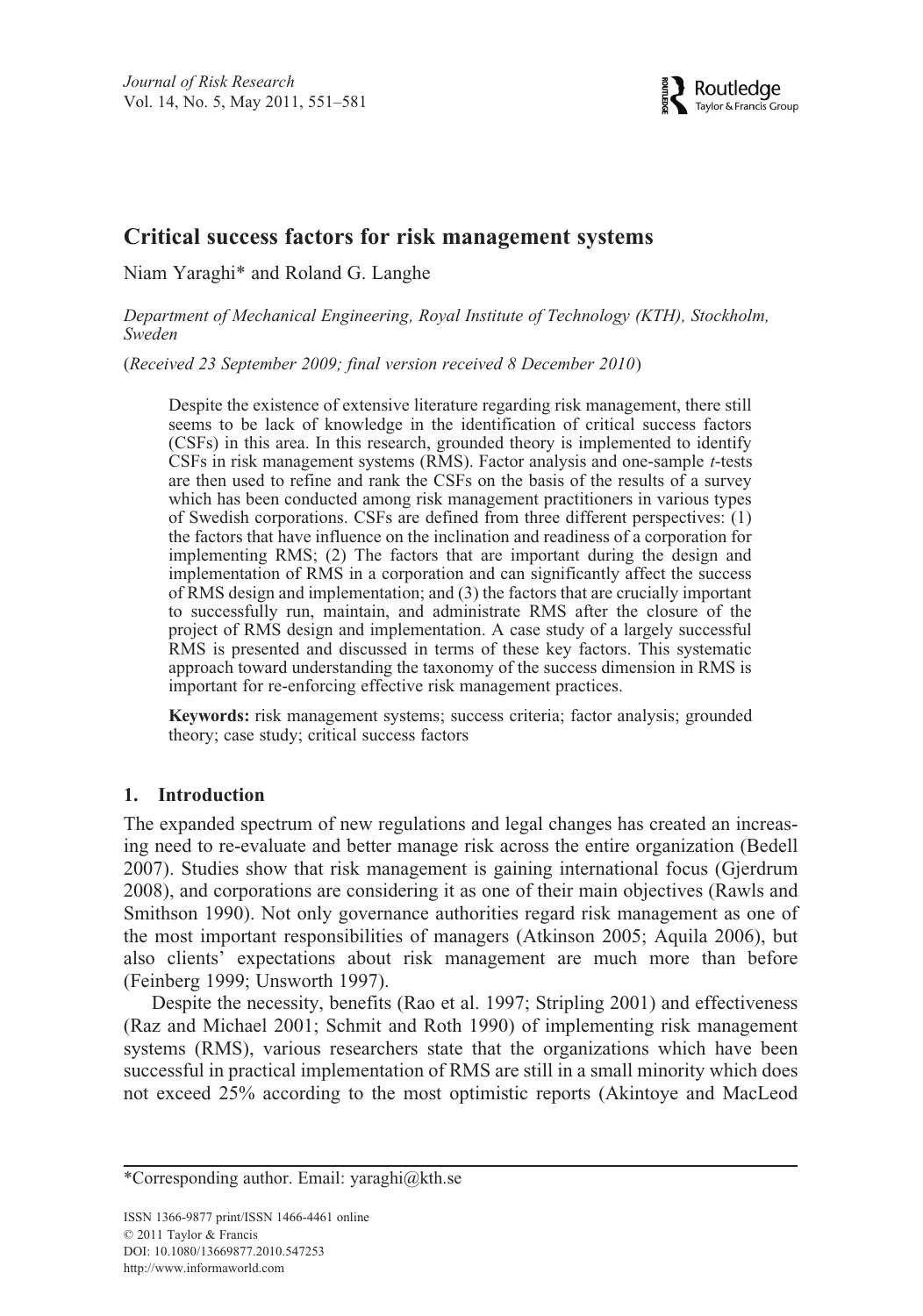# **Critical success factors for risk management systems**

Niam Yaraghi\* and Roland G. Langhe

*Department of Mechanical Engineering, Royal Institute of Technology (KTH), Stockholm, Sweden*

(*Received 23 September 2009; final version received 8 December 2010*)

Despite the existence of extensive literature regarding risk management, there still seems to be lack of knowledge in the identification of critical success factors (CSFs) in this area. In this research, grounded theory is implemented to identify CSFs in risk management systems (RMS). Factor analysis and one-sample *t*-tests are then used to refine and rank the CSFs on the basis of the results of a survey which has been conducted among risk management practitioners in various types of Swedish corporations. CSFs are defined from three different perspectives: (1) the factors that have influence on the inclination and readiness of a corporation for implementing RMS; (2) The factors that are important during the design and implementation of RMS in a corporation and can significantly affect the success of RMS design and implementation; and (3) the factors that are crucially important to successfully run, maintain, and administrate RMS after the closure of the project of RMS design and implementation. A case study of a largely successful RMS is presented and discussed in terms of these key factors. This systematic approach toward understanding the taxonomy of the success dimension in RMS is important for re-enforcing effective risk management practices.

**Keywords:** risk management systems; success criteria; factor analysis; grounded theory; case study; critical success factors

### **1. Introduction**

The expanded spectrum of new regulations and legal changes has created an increasing need to re-evaluate and better manage risk across the entire organization (Bedell 2007). Studies show that risk management is gaining international focus (Gjerdrum 2008), and corporations are considering it as one of their main objectives (Rawls and Smithson 1990). Not only governance authorities regard risk management as one of the most important responsibilities of managers (Atkinson 2005; Aquila 2006), but also clients' expectations about risk management are much more than before (Feinberg 1999; Unsworth 1997).

Despite the necessity, benefits (Rao et al. 1997; Stripling 2001) and effectiveness (Raz and Michael 2001; Schmit and Roth 1990) of implementing risk management systems (RMS), various researchers state that the organizations which have been successful in practical implementation of RMS are still in a small minority which does not exceed 25% according to the most optimistic reports (Akintoye and MacLeod

<sup>\*</sup>Corresponding author. Email: yaraghi@kth.se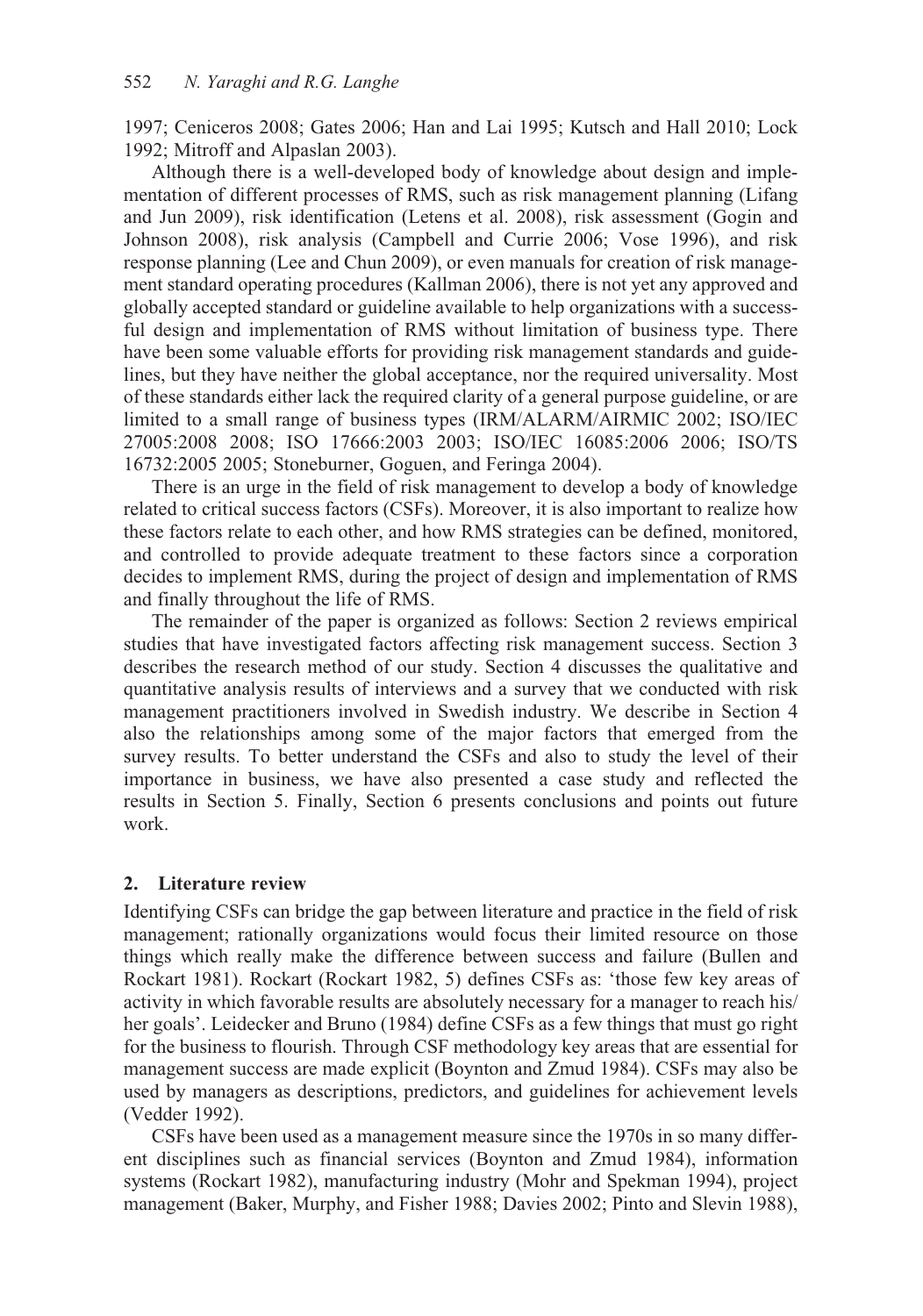1997; Ceniceros 2008; Gates 2006; Han and Lai 1995; Kutsch and Hall 2010; Lock 1992; Mitroff and Alpaslan 2003).

Although there is a well-developed body of knowledge about design and implementation of different processes of RMS, such as risk management planning (Lifang and Jun 2009), risk identification (Letens et al. 2008), risk assessment (Gogin and Johnson 2008), risk analysis (Campbell and Currie 2006; Vose 1996), and risk response planning (Lee and Chun 2009), or even manuals for creation of risk management standard operating procedures (Kallman 2006), there is not yet any approved and globally accepted standard or guideline available to help organizations with a successful design and implementation of RMS without limitation of business type. There have been some valuable efforts for providing risk management standards and guidelines, but they have neither the global acceptance, nor the required universality. Most of these standards either lack the required clarity of a general purpose guideline, or are limited to a small range of business types (IRM/ALARM/AIRMIC 2002; ISO/IEC 27005:2008 2008; ISO 17666:2003 2003; ISO/IEC 16085:2006 2006; ISO/TS 16732:2005 2005; Stoneburner, Goguen, and Feringa 2004).

There is an urge in the field of risk management to develop a body of knowledge related to critical success factors (CSFs). Moreover, it is also important to realize how these factors relate to each other, and how RMS strategies can be defined, monitored, and controlled to provide adequate treatment to these factors since a corporation decides to implement RMS, during the project of design and implementation of RMS and finally throughout the life of RMS.

The remainder of the paper is organized as follows: Section 2 reviews empirical studies that have investigated factors affecting risk management success. Section 3 describes the research method of our study. Section 4 discusses the qualitative and quantitative analysis results of interviews and a survey that we conducted with risk management practitioners involved in Swedish industry. We describe in Section 4 also the relationships among some of the major factors that emerged from the survey results. To better understand the CSFs and also to study the level of their importance in business, we have also presented a case study and reflected the results in Section 5. Finally, Section 6 presents conclusions and points out future work.

### **2. Literature review**

Identifying CSFs can bridge the gap between literature and practice in the field of risk management; rationally organizations would focus their limited resource on those things which really make the difference between success and failure (Bullen and Rockart 1981). Rockart (Rockart 1982, 5) defines CSFs as: 'those few key areas of activity in which favorable results are absolutely necessary for a manager to reach his/ her goals'. Leidecker and Bruno (1984) define CSFs as a few things that must go right for the business to flourish. Through CSF methodology key areas that are essential for management success are made explicit (Boynton and Zmud 1984). CSFs may also be used by managers as descriptions, predictors, and guidelines for achievement levels (Vedder 1992).

CSFs have been used as a management measure since the 1970s in so many different disciplines such as financial services (Boynton and Zmud 1984), information systems (Rockart 1982), manufacturing industry (Mohr and Spekman 1994), project management (Baker, Murphy, and Fisher 1988; Davies 2002; Pinto and Slevin 1988),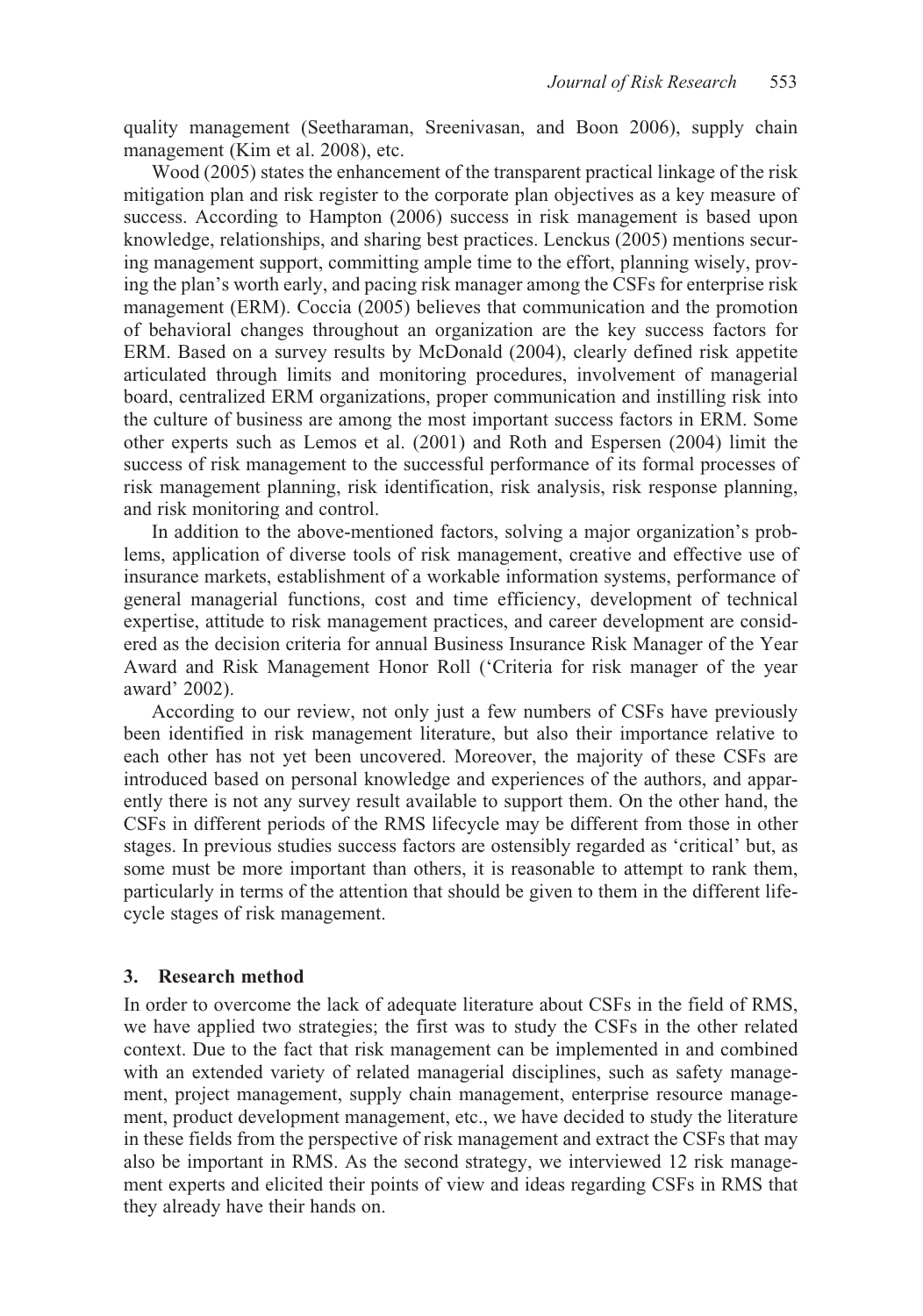quality management (Seetharaman, Sreenivasan, and Boon 2006), supply chain management (Kim et al. 2008), etc.

Wood (2005) states the enhancement of the transparent practical linkage of the risk mitigation plan and risk register to the corporate plan objectives as a key measure of success. According to Hampton (2006) success in risk management is based upon knowledge, relationships, and sharing best practices. Lenckus (2005) mentions securing management support, committing ample time to the effort, planning wisely, proving the plan's worth early, and pacing risk manager among the CSFs for enterprise risk management (ERM). Coccia (2005) believes that communication and the promotion of behavioral changes throughout an organization are the key success factors for ERM. Based on a survey results by McDonald (2004), clearly defined risk appetite articulated through limits and monitoring procedures, involvement of managerial board, centralized ERM organizations, proper communication and instilling risk into the culture of business are among the most important success factors in ERM. Some other experts such as Lemos et al. (2001) and Roth and Espersen (2004) limit the success of risk management to the successful performance of its formal processes of risk management planning, risk identification, risk analysis, risk response planning, and risk monitoring and control.

In addition to the above-mentioned factors, solving a major organization's problems, application of diverse tools of risk management, creative and effective use of insurance markets, establishment of a workable information systems, performance of general managerial functions, cost and time efficiency, development of technical expertise, attitude to risk management practices, and career development are considered as the decision criteria for annual Business Insurance Risk Manager of the Year Award and Risk Management Honor Roll ('Criteria for risk manager of the year award' 2002).

According to our review, not only just a few numbers of CSFs have previously been identified in risk management literature, but also their importance relative to each other has not yet been uncovered. Moreover, the majority of these CSFs are introduced based on personal knowledge and experiences of the authors, and apparently there is not any survey result available to support them. On the other hand, the CSFs in different periods of the RMS lifecycle may be different from those in other stages. In previous studies success factors are ostensibly regarded as 'critical' but, as some must be more important than others, it is reasonable to attempt to rank them, particularly in terms of the attention that should be given to them in the different lifecycle stages of risk management.

#### **3. Research method**

In order to overcome the lack of adequate literature about CSFs in the field of RMS, we have applied two strategies; the first was to study the CSFs in the other related context. Due to the fact that risk management can be implemented in and combined with an extended variety of related managerial disciplines, such as safety management, project management, supply chain management, enterprise resource management, product development management, etc., we have decided to study the literature in these fields from the perspective of risk management and extract the CSFs that may also be important in RMS. As the second strategy, we interviewed 12 risk management experts and elicited their points of view and ideas regarding CSFs in RMS that they already have their hands on.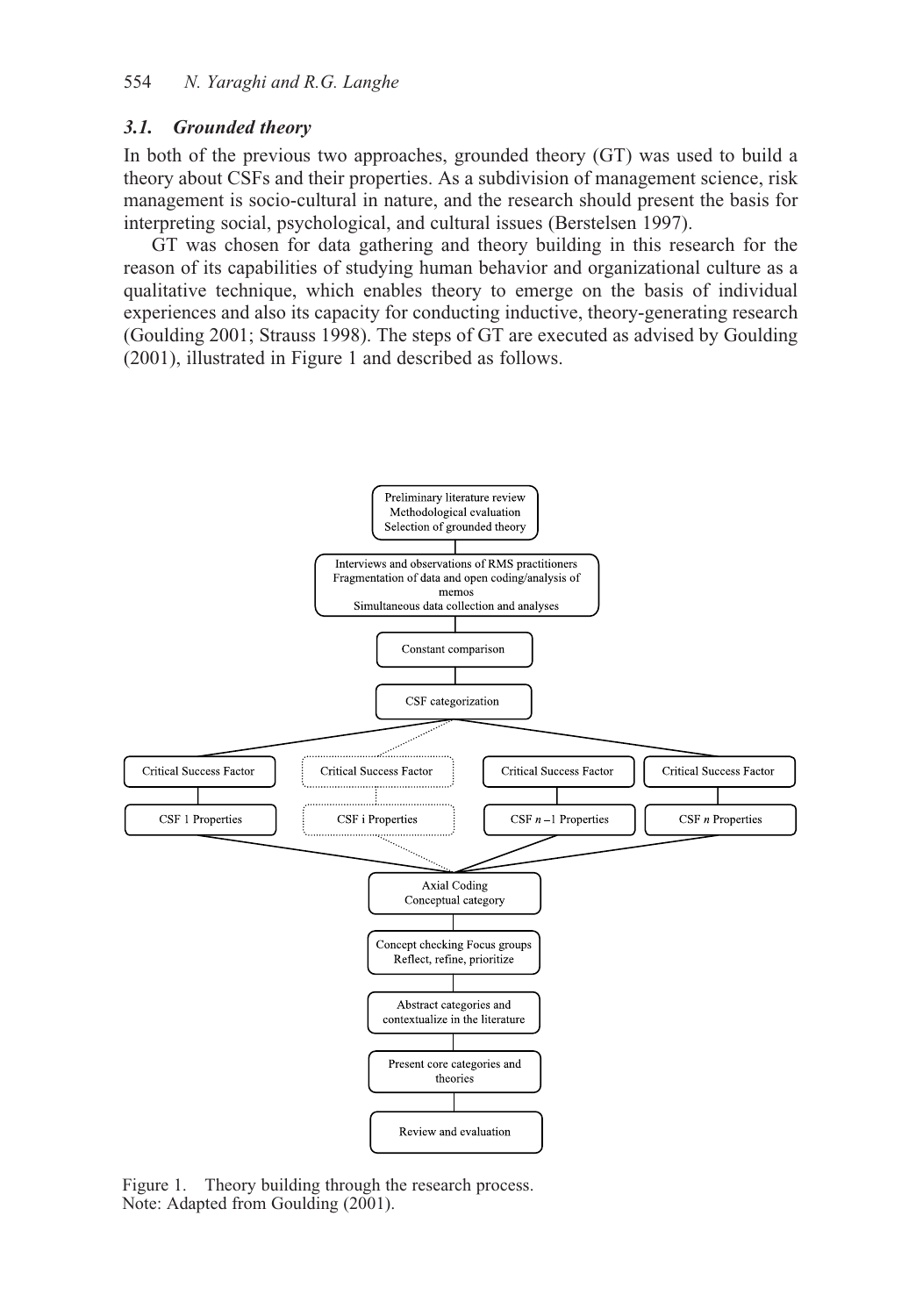### *3.1. Grounded theory*

In both of the previous two approaches, grounded theory (GT) was used to build a theory about CSFs and their properties. As a subdivision of management science, risk management is socio-cultural in nature, and the research should present the basis for interpreting social, psychological, and cultural issues (Berstelsen 1997).

GT was chosen for data gathering and theory building in this research for the reason of its capabilities of studying human behavior and organizational culture as a qualitative technique, which enables theory to emerge on the basis of individual experiences and also its capacity for conducting inductive, theory-generating research (Goulding 2001; Strauss 1998). The steps of GT are executed as advised by Goulding (2001), illustrated in Figure 1 and described as follows.



Figure 1. Theory building through the research process. Note: Adapted from Goulding (2001).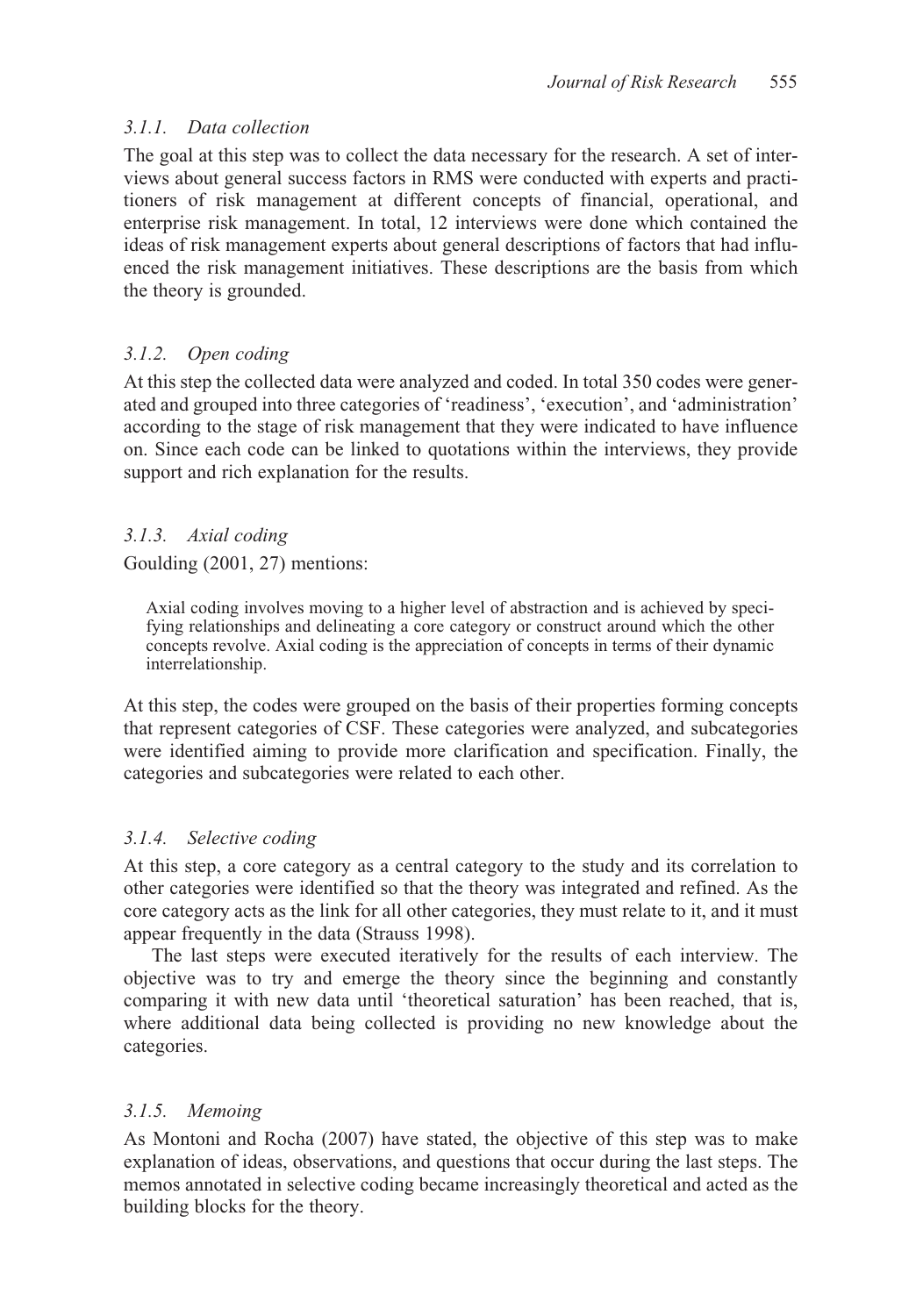# *3.1.1. Data collection*

The goal at this step was to collect the data necessary for the research. A set of interviews about general success factors in RMS were conducted with experts and practitioners of risk management at different concepts of financial, operational, and enterprise risk management. In total, 12 interviews were done which contained the ideas of risk management experts about general descriptions of factors that had influenced the risk management initiatives. These descriptions are the basis from which the theory is grounded.

# *3.1.2. Open coding*

At this step the collected data were analyzed and coded. In total 350 codes were generated and grouped into three categories of 'readiness', 'execution', and 'administration' according to the stage of risk management that they were indicated to have influence on. Since each code can be linked to quotations within the interviews, they provide support and rich explanation for the results.

# *3.1.3. Axial coding*

Goulding (2001, 27) mentions:

Axial coding involves moving to a higher level of abstraction and is achieved by specifying relationships and delineating a core category or construct around which the other concepts revolve. Axial coding is the appreciation of concepts in terms of their dynamic interrelationship.

At this step, the codes were grouped on the basis of their properties forming concepts that represent categories of CSF. These categories were analyzed, and subcategories were identified aiming to provide more clarification and specification. Finally, the categories and subcategories were related to each other.

# *3.1.4. Selective coding*

At this step, a core category as a central category to the study and its correlation to other categories were identified so that the theory was integrated and refined. As the core category acts as the link for all other categories, they must relate to it, and it must appear frequently in the data (Strauss 1998).

The last steps were executed iteratively for the results of each interview. The objective was to try and emerge the theory since the beginning and constantly comparing it with new data until 'theoretical saturation' has been reached, that is, where additional data being collected is providing no new knowledge about the categories.

# *3.1.5. Memoing*

As Montoni and Rocha (2007) have stated, the objective of this step was to make explanation of ideas, observations, and questions that occur during the last steps. The memos annotated in selective coding became increasingly theoretical and acted as the building blocks for the theory.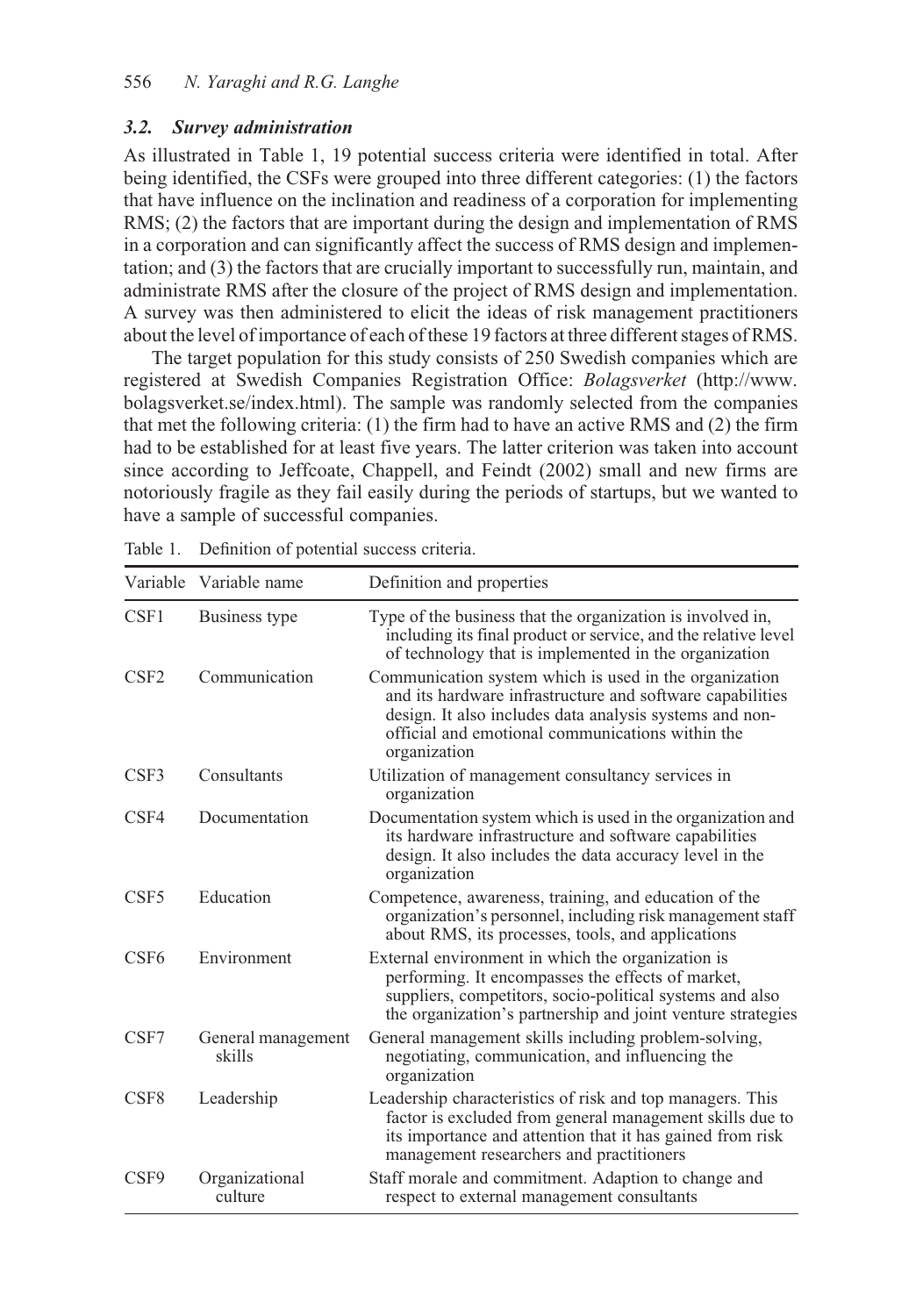### *3.2. Survey administration*

As illustrated in Table 1, 19 potential success criteria were identified in total. After being identified, the CSFs were grouped into three different categories: (1) the factors that have influence on the inclination and readiness of a corporation for implementing RMS; (2) the factors that are important during the design and implementation of RMS in a corporation and can significantly affect the success of RMS design and implementation; and (3) the factors that are crucially important to successfully run, maintain, and administrate RMS after the closure of the project of RMS design and implementation. A survey was then administered to elicit the ideas of risk management practitioners about the level of importance of each of these 19 factors at three different stages of RMS.

The target population for this study consists of 250 Swedish companies which are registered at Swedish Companies Registration Office: *Bolagsverket* (http://www. bolagsverket.se/index.html). The sample was randomly selected from the companies that met the following criteria: (1) the firm had to have an active RMS and (2) the firm had to be established for at least five years. The latter criterion was taken into account since according to Jeffcoate, Chappell, and Feindt (2002) small and new firms are notoriously fragile as they fail easily during the periods of startups, but we wanted to have a sample of successful companies.

|                  | Variable Variable name       | Definition and properties                                                                                                                                                                                                                          |
|------------------|------------------------------|----------------------------------------------------------------------------------------------------------------------------------------------------------------------------------------------------------------------------------------------------|
| CSF1             | Business type                | Type of the business that the organization is involved in,<br>including its final product or service, and the relative level<br>of technology that is implemented in the organization                                                              |
| C <sub>SF2</sub> | Communication                | Communication system which is used in the organization<br>and its hardware infrastructure and software capabilities<br>design. It also includes data analysis systems and non-<br>official and emotional communications within the<br>organization |
| CSF3             | Consultants                  | Utilization of management consultancy services in<br>organization                                                                                                                                                                                  |
| CSF4             | Documentation                | Documentation system which is used in the organization and<br>its hardware infrastructure and software capabilities<br>design. It also includes the data accuracy level in the<br>organization                                                     |
| CSF <sub>5</sub> | Education                    | Competence, awareness, training, and education of the<br>organization's personnel, including risk management staff<br>about RMS, its processes, tools, and applications                                                                            |
| CSF <sub>6</sub> | Environment                  | External environment in which the organization is<br>performing. It encompasses the effects of market,<br>suppliers, competitors, socio-political systems and also<br>the organization's partnership and joint venture strategies                  |
| CSF7             | General management<br>skills | General management skills including problem-solving,<br>negotiating, communication, and influencing the<br>organization                                                                                                                            |
| CSF <sub>8</sub> | Leadership                   | Leadership characteristics of risk and top managers. This<br>factor is excluded from general management skills due to<br>its importance and attention that it has gained from risk<br>management researchers and practitioners                     |
| CSF9             | Organizational<br>culture    | Staff morale and commitment. Adaption to change and<br>respect to external management consultants                                                                                                                                                  |

Table 1. Definition of potential success criteria.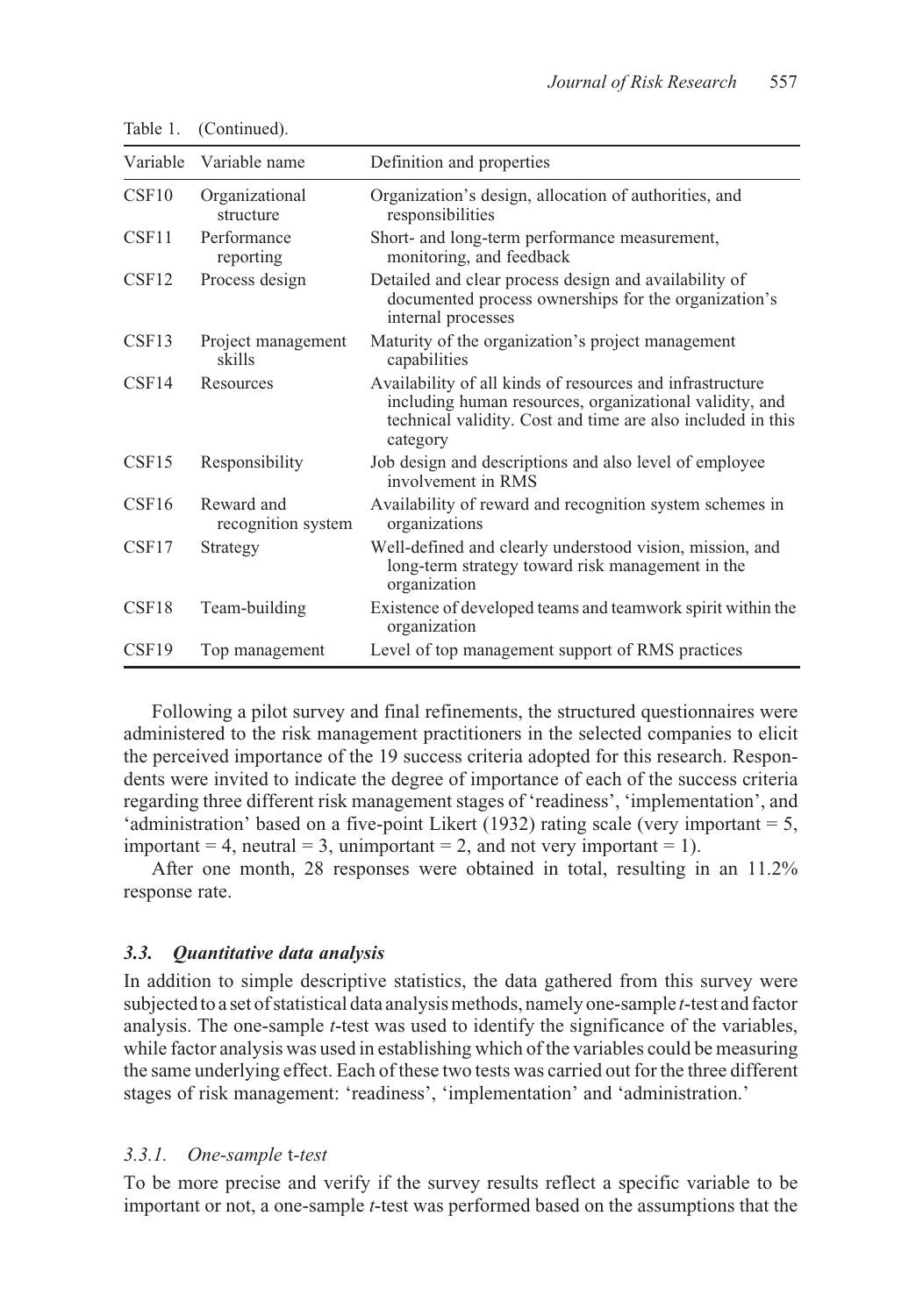| Variable          | Variable name                    | Definition and properties                                                                                                                                                                       |
|-------------------|----------------------------------|-------------------------------------------------------------------------------------------------------------------------------------------------------------------------------------------------|
| CSF <sub>10</sub> | Organizational<br>structure      | Organization's design, allocation of authorities, and<br>responsibilities                                                                                                                       |
| CSF11             | Performance<br>reporting         | Short- and long-term performance measurement,<br>monitoring, and feedback                                                                                                                       |
| CSF <sub>12</sub> | Process design                   | Detailed and clear process design and availability of<br>documented process ownerships for the organization's<br>internal processes                                                             |
| CSF13             | Project management<br>skills     | Maturity of the organization's project management<br>capabilities                                                                                                                               |
| CSF14             | Resources                        | Availability of all kinds of resources and infrastructure<br>including human resources, organizational validity, and<br>technical validity. Cost and time are also included in this<br>category |
| CSF15             | Responsibility                   | Job design and descriptions and also level of employee<br>involvement in RMS                                                                                                                    |
| CSF16             | Reward and<br>recognition system | Availability of reward and recognition system schemes in<br>organizations                                                                                                                       |
| CSF17             | Strategy                         | Well-defined and clearly understood vision, mission, and<br>long-term strategy toward risk management in the<br>organization                                                                    |
| CSF <sub>18</sub> | Team-building                    | Existence of developed teams and teamwork spirit within the<br>organization                                                                                                                     |
| CSF <sub>19</sub> | Top management                   | Level of top management support of RMS practices                                                                                                                                                |

Table 1. (Continued).

Following a pilot survey and final refinements, the structured questionnaires were administered to the risk management practitioners in the selected companies to elicit the perceived importance of the 19 success criteria adopted for this research. Respondents were invited to indicate the degree of importance of each of the success criteria regarding three different risk management stages of 'readiness', 'implementation', and 'administration' based on a five-point Likert (1932) rating scale (very important = 5, important = 4, neutral = 3, unimportant = 2, and not very important = 1).

After one month, 28 responses were obtained in total, resulting in an 11.2% response rate.

#### *3.3. Quantitative data analysis*

In addition to simple descriptive statistics, the data gathered from this survey were subjected to a set of statistical data analysis methods, namely one-sample *t*-test and factor analysis. The one-sample *t*-test was used to identify the significance of the variables, while factor analysis was used in establishing which of the variables could be measuring the same underlying effect. Each of these two tests was carried out for the three different stages of risk management: 'readiness', 'implementation' and 'administration.'

#### *3.3.1. One-sample* t*-test*

To be more precise and verify if the survey results reflect a specific variable to be important or not, a one-sample *t*-test was performed based on the assumptions that the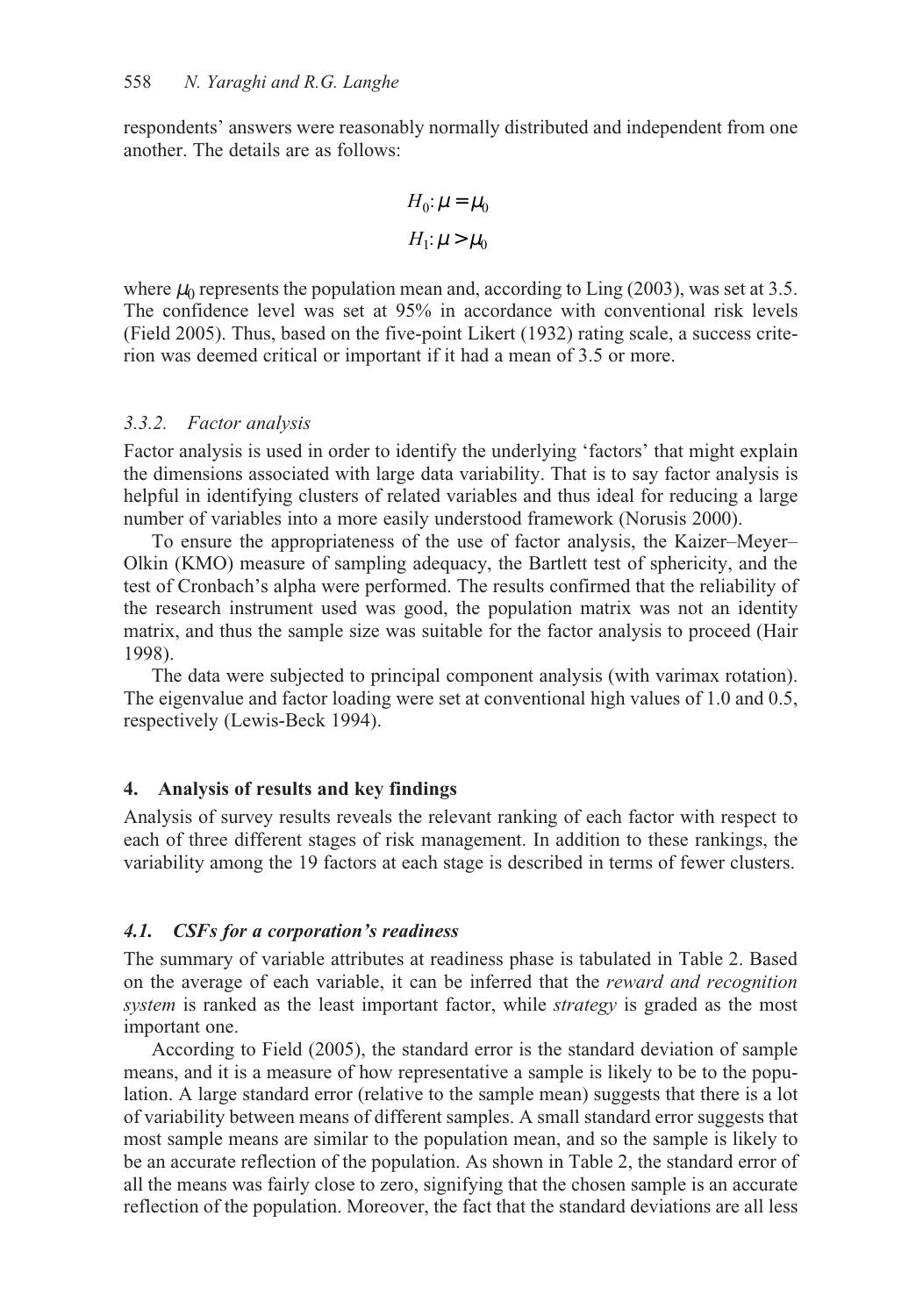respondents' answers were reasonably normally distributed and independent from one another. The details are as follows:

$$
\begin{cases} H_0: \mu = \mu_0 \\ H_1: \mu > \mu_0 \end{cases}
$$

where  $\mu_0$  represents the population mean and, according to Ling (2003), was set at 3.5. The confidence level was set at 95% in accordance with conventional risk levels (Field 2005). Thus, based on the five-point Likert (1932) rating scale, a success criterion was deemed critical or important if it had a mean of 3.5 or more.

### *3.3.2. Factor analysis*

Factor analysis is used in order to identify the underlying 'factors' that might explain the dimensions associated with large data variability. That is to say factor analysis is helpful in identifying clusters of related variables and thus ideal for reducing a large number of variables into a more easily understood framework (Norusis 2000).

To ensure the appropriateness of the use of factor analysis, the Kaizer–Meyer– Olkin (KMO) measure of sampling adequacy, the Bartlett test of sphericity, and the test of Cronbach's alpha were performed. The results confirmed that the reliability of the research instrument used was good, the population matrix was not an identity matrix, and thus the sample size was suitable for the factor analysis to proceed (Hair 1998).

The data were subjected to principal component analysis (with varimax rotation). The eigenvalue and factor loading were set at conventional high values of 1.0 and 0.5, respectively (Lewis-Beck 1994).

### **4. Analysis of results and key findings**

Analysis of survey results reveals the relevant ranking of each factor with respect to each of three different stages of risk management. In addition to these rankings, the variability among the 19 factors at each stage is described in terms of fewer clusters.

### *4.1. CSFs for a corporation's readiness*

The summary of variable attributes at readiness phase is tabulated in Table 2. Based on the average of each variable, it can be inferred that the *reward and recognition system* is ranked as the least important factor, while *strategy* is graded as the most important one.

According to Field (2005), the standard error is the standard deviation of sample means, and it is a measure of how representative a sample is likely to be to the population. A large standard error (relative to the sample mean) suggests that there is a lot of variability between means of different samples. A small standard error suggests that most sample means are similar to the population mean, and so the sample is likely to be an accurate reflection of the population. As shown in Table 2, the standard error of all the means was fairly close to zero, signifying that the chosen sample is an accurate reflection of the population. Moreover, the fact that the standard deviations are all less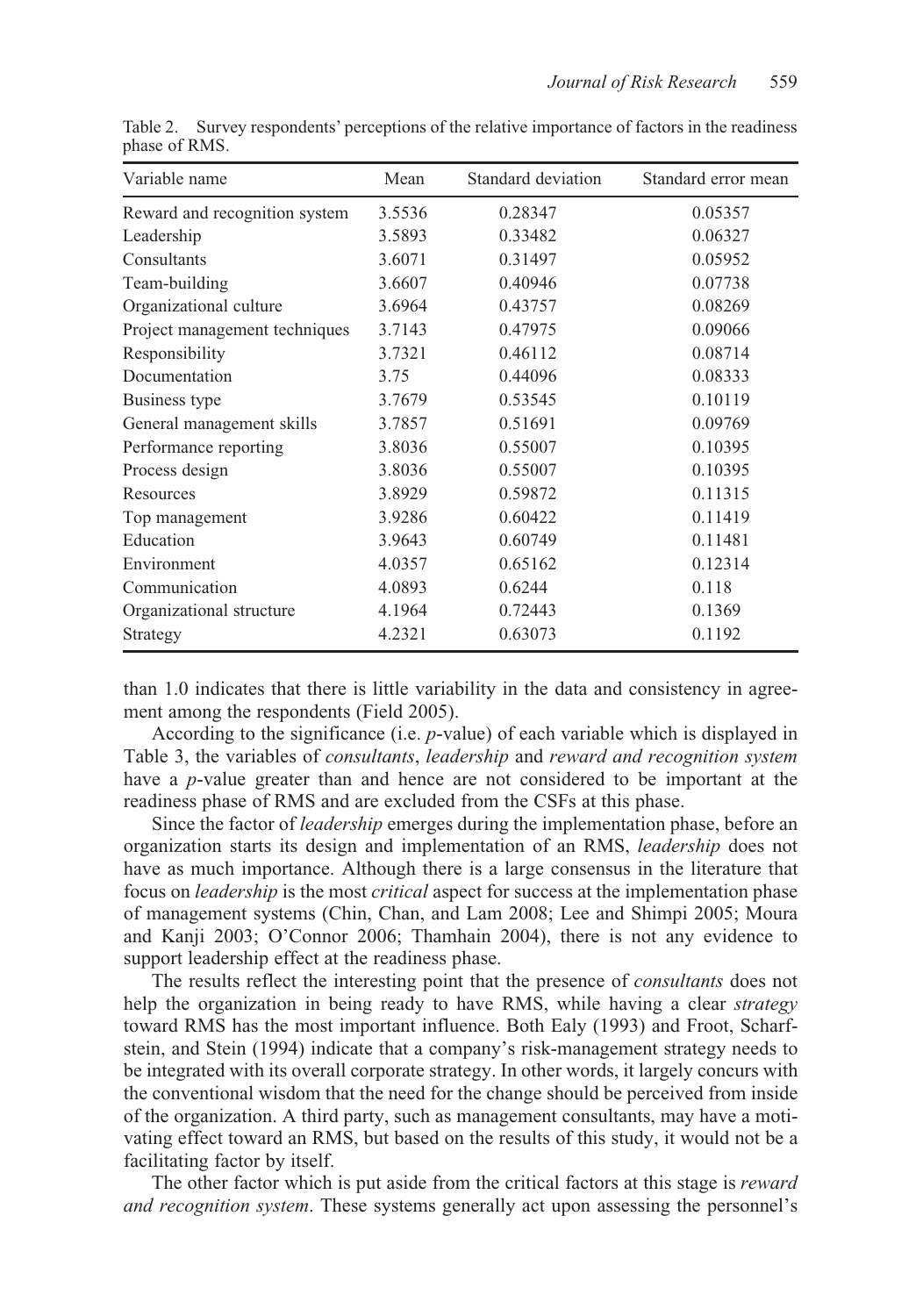| Variable name                 | Mean   | Standard deviation | Standard error mean |
|-------------------------------|--------|--------------------|---------------------|
| Reward and recognition system | 3.5536 | 0.28347            | 0.05357             |
| Leadership                    | 3.5893 | 0.33482            | 0.06327             |
| Consultants                   | 3.6071 | 0.31497            | 0.05952             |
| Team-building                 | 3.6607 | 0.40946            | 0.07738             |
| Organizational culture        | 3.6964 | 0.43757            | 0.08269             |
| Project management techniques | 3.7143 | 0.47975            | 0.09066             |
| Responsibility                | 3.7321 | 0.46112            | 0.08714             |
| Documentation                 | 3.75   | 0.44096            | 0.08333             |
| Business type                 | 3.7679 | 0.53545            | 0.10119             |
| General management skills     | 3.7857 | 0.51691            | 0.09769             |
| Performance reporting         | 3.8036 | 0.55007            | 0.10395             |
| Process design                | 3.8036 | 0.55007            | 0.10395             |
| Resources                     | 3.8929 | 0.59872            | 0.11315             |
| Top management                | 3.9286 | 0.60422            | 0.11419             |
| Education                     | 3.9643 | 0.60749            | 0.11481             |
| Environment                   | 4.0357 | 0.65162            | 0.12314             |
| Communication                 | 4.0893 | 0.6244             | 0.118               |
| Organizational structure      | 4.1964 | 0.72443            | 0.1369              |
| Strategy                      | 4.2321 | 0.63073            | 0.1192              |

Table 2. Survey respondents' perceptions of the relative importance of factors in the readiness phase of RMS.

than 1.0 indicates that there is little variability in the data and consistency in agreement among the respondents (Field 2005).

According to the significance (i.e. *p*-value) of each variable which is displayed in Table 3, the variables of *consultants*, *leadership* and *reward and recognition system* have a *p*-value greater than and hence are not considered to be important at the readiness phase of RMS and are excluded from the CSFs at this phase.

Since the factor of *leadership* emerges during the implementation phase, before an organization starts its design and implementation of an RMS, *leadership* does not have as much importance. Although there is a large consensus in the literature that focus on *leadership* is the most *critical* aspect for success at the implementation phase of management systems (Chin, Chan, and Lam 2008; Lee and Shimpi 2005; Moura and Kanji 2003; O'Connor 2006; Thamhain 2004), there is not any evidence to support leadership effect at the readiness phase.

The results reflect the interesting point that the presence of *consultants* does not help the organization in being ready to have RMS, while having a clear *strategy* toward RMS has the most important influence. Both Ealy (1993) and Froot, Scharfstein, and Stein (1994) indicate that a company's risk-management strategy needs to be integrated with its overall corporate strategy. In other words, it largely concurs with the conventional wisdom that the need for the change should be perceived from inside of the organization. A third party, such as management consultants, may have a motivating effect toward an RMS, but based on the results of this study, it would not be a facilitating factor by itself.

The other factor which is put aside from the critical factors at this stage is *reward and recognition system*. These systems generally act upon assessing the personnel's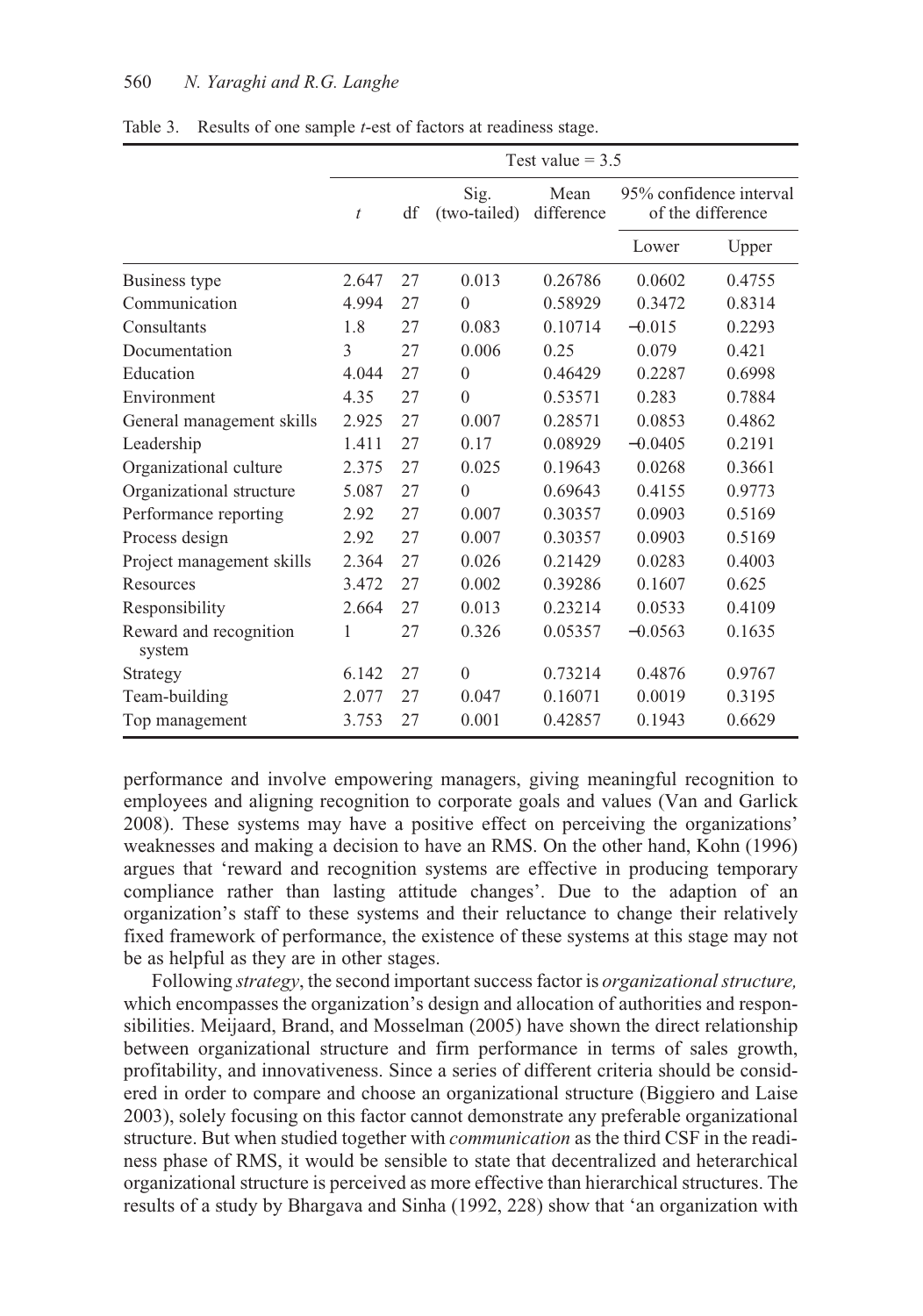|                                  | Test value $= 3.5$ |    |                      |                    |           |                                              |  |
|----------------------------------|--------------------|----|----------------------|--------------------|-----------|----------------------------------------------|--|
|                                  | $\boldsymbol{t}$   | df | Sig.<br>(two-tailed) | Mean<br>difference |           | 95% confidence interval<br>of the difference |  |
|                                  |                    |    |                      |                    | Lower     | Upper                                        |  |
| Business type                    | 2.647              | 27 | 0.013                | 0.26786            | 0.0602    | 0.4755                                       |  |
| Communication                    | 4.994              | 27 | $\theta$             | 0.58929            | 0.3472    | 0.8314                                       |  |
| Consultants                      | 1.8                | 27 | 0.083                | 0.10714            | $-0.015$  | 0.2293                                       |  |
| Documentation                    | 3                  | 27 | 0.006                | 0.25               | 0.079     | 0.421                                        |  |
| Education                        | 4.044              | 27 | $\theta$             | 0.46429            | 0.2287    | 0.6998                                       |  |
| Environment                      | 4.35               | 27 | $\theta$             | 0.53571            | 0.283     | 0.7884                                       |  |
| General management skills        | 2.925              | 27 | 0.007                | 0.28571            | 0.0853    | 0.4862                                       |  |
| Leadership                       | 1.411              | 27 | 0.17                 | 0.08929            | $-0.0405$ | 0.2191                                       |  |
| Organizational culture           | 2.375              | 27 | 0.025                | 0.19643            | 0.0268    | 0.3661                                       |  |
| Organizational structure         | 5.087              | 27 | $\theta$             | 0.69643            | 0.4155    | 0.9773                                       |  |
| Performance reporting            | 2.92               | 27 | 0.007                | 0.30357            | 0.0903    | 0.5169                                       |  |
| Process design                   | 2.92               | 27 | 0.007                | 0.30357            | 0.0903    | 0.5169                                       |  |
| Project management skills        | 2.364              | 27 | 0.026                | 0.21429            | 0.0283    | 0.4003                                       |  |
| Resources                        | 3.472              | 27 | 0.002                | 0.39286            | 0.1607    | 0.625                                        |  |
| Responsibility                   | 2.664              | 27 | 0.013                | 0.23214            | 0.0533    | 0.4109                                       |  |
| Reward and recognition<br>system | 1                  | 27 | 0.326                | 0.05357            | $-0.0563$ | 0.1635                                       |  |
| Strategy                         | 6.142              | 27 | $\theta$             | 0.73214            | 0.4876    | 0.9767                                       |  |
| Team-building                    | 2.077              | 27 | 0.047                | 0.16071            | 0.0019    | 0.3195                                       |  |
| Top management                   | 3.753              | 27 | 0.001                | 0.42857            | 0.1943    | 0.6629                                       |  |

Table 3. Results of one sample *t*-est of factors at readiness stage.

performance and involve empowering managers, giving meaningful recognition to employees and aligning recognition to corporate goals and values (Van and Garlick 2008). These systems may have a positive effect on perceiving the organizations' weaknesses and making a decision to have an RMS. On the other hand, Kohn (1996) argues that 'reward and recognition systems are effective in producing temporary compliance rather than lasting attitude changes'. Due to the adaption of an organization's staff to these systems and their reluctance to change their relatively fixed framework of performance, the existence of these systems at this stage may not be as helpful as they are in other stages.

Following *strategy*, the second important success factor is *organizational structure,* which encompasses the organization's design and allocation of authorities and responsibilities. Meijaard, Brand, and Mosselman (2005) have shown the direct relationship between organizational structure and firm performance in terms of sales growth, profitability, and innovativeness. Since a series of different criteria should be considered in order to compare and choose an organizational structure (Biggiero and Laise 2003), solely focusing on this factor cannot demonstrate any preferable organizational structure. But when studied together with *communication* as the third CSF in the readiness phase of RMS, it would be sensible to state that decentralized and heterarchical organizational structure is perceived as more effective than hierarchical structures. The results of a study by Bhargava and Sinha (1992, 228) show that 'an organization with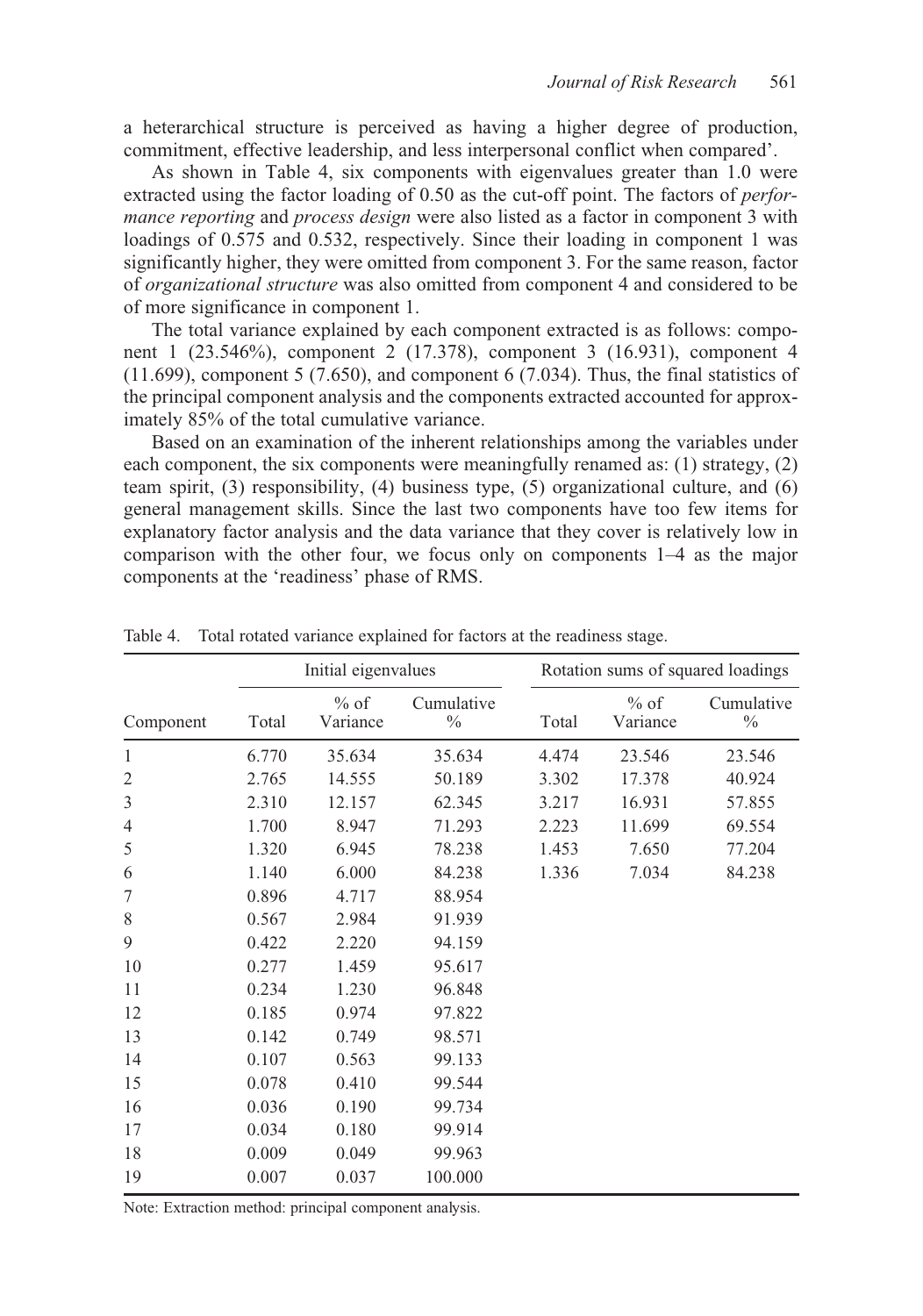a heterarchical structure is perceived as having a higher degree of production, commitment, effective leadership, and less interpersonal conflict when compared'.

As shown in Table 4, six components with eigenvalues greater than 1.0 were extracted using the factor loading of 0.50 as the cut-off point. The factors of *performance reporting* and *process design* were also listed as a factor in component 3 with loadings of 0.575 and 0.532, respectively. Since their loading in component 1 was significantly higher, they were omitted from component 3. For the same reason, factor of *organizational structure* was also omitted from component 4 and considered to be of more significance in component 1.

The total variance explained by each component extracted is as follows: component 1 (23.546%), component 2 (17.378), component 3 (16.931), component 4 (11.699), component 5 (7.650), and component 6 (7.034). Thus, the final statistics of the principal component analysis and the components extracted accounted for approximately 85% of the total cumulative variance.

Based on an examination of the inherent relationships among the variables under each component, the six components were meaningfully renamed as: (1) strategy, (2) team spirit, (3) responsibility, (4) business type, (5) organizational culture, and (6) general management skills. Since the last two components have too few items for explanatory factor analysis and the data variance that they cover is relatively low in comparison with the other four, we focus only on components 1–4 as the major components at the 'readiness' phase of RMS.

|                |       | Initial eigenvalues |                             | Rotation sums of squared loadings |                    |                             |  |
|----------------|-------|---------------------|-----------------------------|-----------------------------------|--------------------|-----------------------------|--|
| Component      | Total | $%$ of<br>Variance  | Cumulative<br>$\frac{0}{0}$ | Total                             | $%$ of<br>Variance | Cumulative<br>$\frac{0}{0}$ |  |
| $\mathbf{1}$   | 6.770 | 35.634              | 35.634                      | 4.474                             | 23.546             | 23.546                      |  |
| $\overline{2}$ | 2.765 | 14.555              | 50.189                      | 3.302                             | 17.378             | 40.924                      |  |
| 3              | 2.310 | 12.157              | 62.345                      | 3.217                             | 16.931             | 57.855                      |  |
| $\overline{4}$ | 1.700 | 8.947               | 71.293                      | 2.223                             | 11.699             | 69.554                      |  |
| 5              | 1.320 | 6.945               | 78.238                      | 1.453                             | 7.650              | 77.204                      |  |
| 6              | 1.140 | 6.000               | 84.238                      | 1.336                             | 7.034              | 84.238                      |  |
| 7              | 0.896 | 4.717               | 88.954                      |                                   |                    |                             |  |
| 8              | 0.567 | 2.984               | 91.939                      |                                   |                    |                             |  |
| 9              | 0.422 | 2.220               | 94.159                      |                                   |                    |                             |  |
| 10             | 0.277 | 1.459               | 95.617                      |                                   |                    |                             |  |
| 11             | 0.234 | 1.230               | 96.848                      |                                   |                    |                             |  |
| 12             | 0.185 | 0.974               | 97.822                      |                                   |                    |                             |  |
| 13             | 0.142 | 0.749               | 98.571                      |                                   |                    |                             |  |
| 14             | 0.107 | 0.563               | 99.133                      |                                   |                    |                             |  |
| 15             | 0.078 | 0.410               | 99.544                      |                                   |                    |                             |  |
| 16             | 0.036 | 0.190               | 99.734                      |                                   |                    |                             |  |
| 17             | 0.034 | 0.180               | 99.914                      |                                   |                    |                             |  |
| 18             | 0.009 | 0.049               | 99.963                      |                                   |                    |                             |  |
| 19             | 0.007 | 0.037               | 100.000                     |                                   |                    |                             |  |

Table 4. Total rotated variance explained for factors at the readiness stage.

Note: Extraction method: principal component analysis.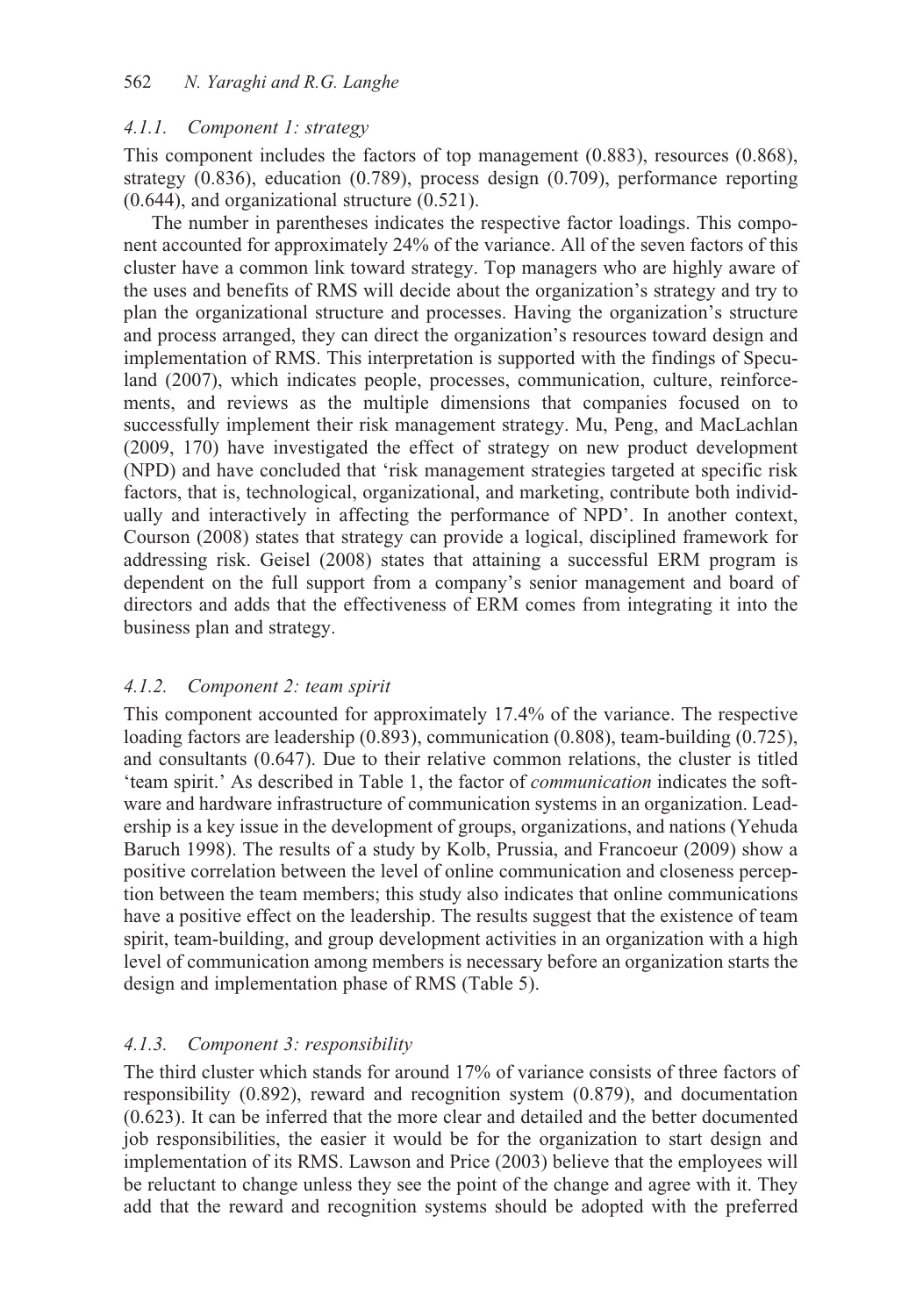### *4.1.1. Component 1: strategy*

This component includes the factors of top management (0.883), resources (0.868), strategy (0.836), education (0.789), process design (0.709), performance reporting (0.644), and organizational structure (0.521).

The number in parentheses indicates the respective factor loadings. This component accounted for approximately 24% of the variance. All of the seven factors of this cluster have a common link toward strategy. Top managers who are highly aware of the uses and benefits of RMS will decide about the organization's strategy and try to plan the organizational structure and processes. Having the organization's structure and process arranged, they can direct the organization's resources toward design and implementation of RMS. This interpretation is supported with the findings of Speculand (2007), which indicates people, processes, communication, culture, reinforcements, and reviews as the multiple dimensions that companies focused on to successfully implement their risk management strategy. Mu, Peng, and MacLachlan (2009, 170) have investigated the effect of strategy on new product development (NPD) and have concluded that 'risk management strategies targeted at specific risk factors, that is, technological, organizational, and marketing, contribute both individually and interactively in affecting the performance of NPD'. In another context, Courson (2008) states that strategy can provide a logical, disciplined framework for addressing risk. Geisel (2008) states that attaining a successful ERM program is dependent on the full support from a company's senior management and board of directors and adds that the effectiveness of ERM comes from integrating it into the business plan and strategy.

### *4.1.2. Component 2: team spirit*

This component accounted for approximately 17.4% of the variance. The respective loading factors are leadership (0.893), communication (0.808), team-building (0.725), and consultants (0.647). Due to their relative common relations, the cluster is titled 'team spirit.' As described in Table 1, the factor of *communication* indicates the software and hardware infrastructure of communication systems in an organization. Leadership is a key issue in the development of groups, organizations, and nations (Yehuda Baruch 1998). The results of a study by Kolb, Prussia, and Francoeur (2009) show a positive correlation between the level of online communication and closeness perception between the team members; this study also indicates that online communications have a positive effect on the leadership. The results suggest that the existence of team spirit, team-building, and group development activities in an organization with a high level of communication among members is necessary before an organization starts the design and implementation phase of RMS (Table 5).

# *4.1.3. Component 3: responsibility*

The third cluster which stands for around 17% of variance consists of three factors of responsibility (0.892), reward and recognition system (0.879), and documentation (0.623). It can be inferred that the more clear and detailed and the better documented job responsibilities, the easier it would be for the organization to start design and implementation of its RMS. Lawson and Price (2003) believe that the employees will be reluctant to change unless they see the point of the change and agree with it. They add that the reward and recognition systems should be adopted with the preferred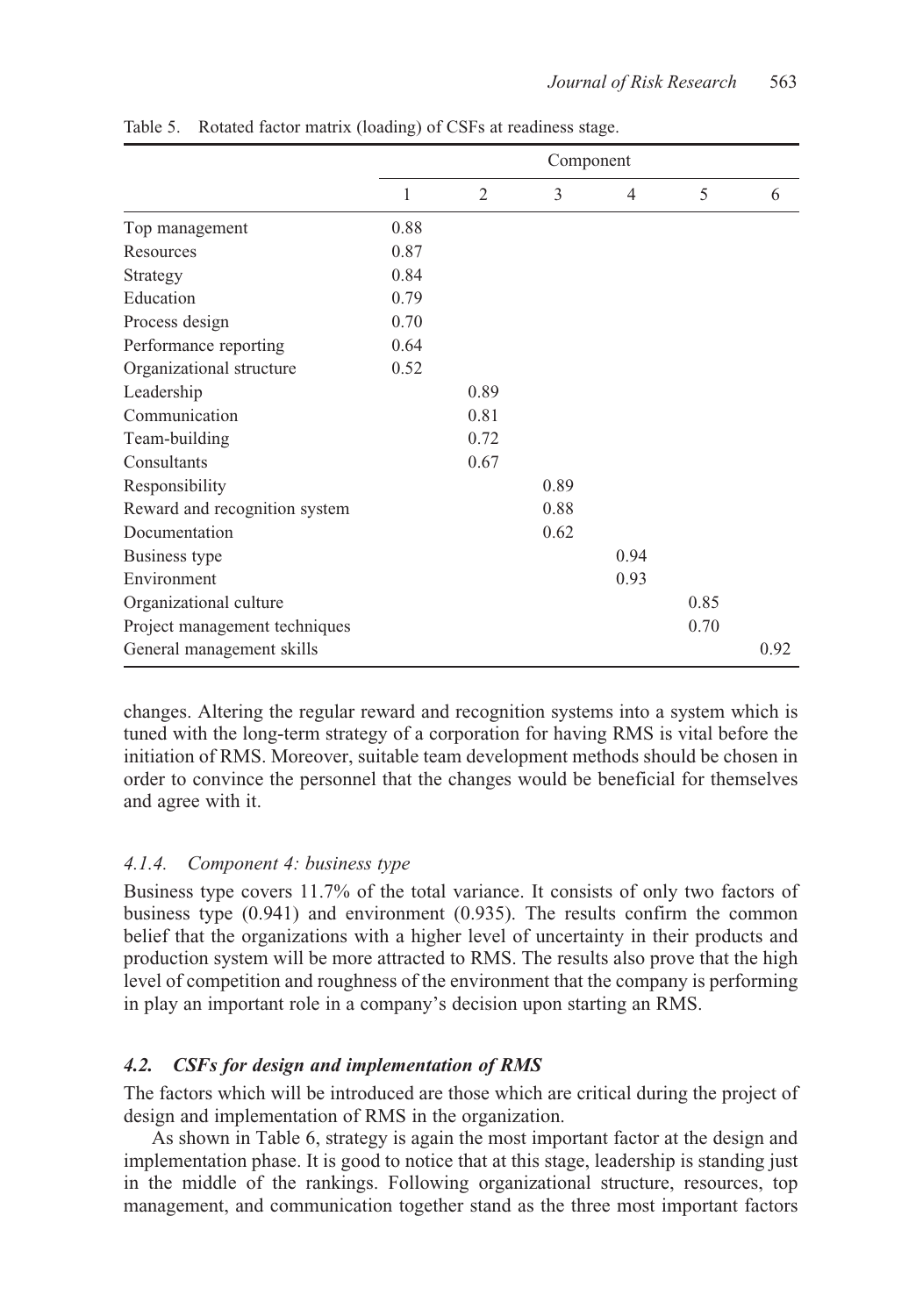|                               |      |                | Component |                |      |      |
|-------------------------------|------|----------------|-----------|----------------|------|------|
|                               | 1    | $\overline{2}$ | 3         | $\overline{4}$ | 5    | 6    |
| Top management                | 0.88 |                |           |                |      |      |
| Resources                     | 0.87 |                |           |                |      |      |
| Strategy                      | 0.84 |                |           |                |      |      |
| Education                     | 0.79 |                |           |                |      |      |
| Process design                | 0.70 |                |           |                |      |      |
| Performance reporting         | 0.64 |                |           |                |      |      |
| Organizational structure      | 0.52 |                |           |                |      |      |
| Leadership                    |      | 0.89           |           |                |      |      |
| Communication                 |      | 0.81           |           |                |      |      |
| Team-building                 |      | 0.72           |           |                |      |      |
| Consultants                   |      | 0.67           |           |                |      |      |
| Responsibility                |      |                | 0.89      |                |      |      |
| Reward and recognition system |      |                | 0.88      |                |      |      |
| Documentation                 |      |                | 0.62      |                |      |      |
| Business type                 |      |                |           | 0.94           |      |      |
| Environment                   |      |                |           | 0.93           |      |      |
| Organizational culture        |      |                |           |                | 0.85 |      |
| Project management techniques |      |                |           |                | 0.70 |      |
| General management skills     |      |                |           |                |      | 0.92 |

Table 5. Rotated factor matrix (loading) of CSFs at readiness stage.

changes. Altering the regular reward and recognition systems into a system which is tuned with the long-term strategy of a corporation for having RMS is vital before the initiation of RMS. Moreover, suitable team development methods should be chosen in order to convince the personnel that the changes would be beneficial for themselves and agree with it.

#### *4.1.4. Component 4: business type*

Business type covers 11.7% of the total variance. It consists of only two factors of business type (0.941) and environment (0.935). The results confirm the common belief that the organizations with a higher level of uncertainty in their products and production system will be more attracted to RMS. The results also prove that the high level of competition and roughness of the environment that the company is performing in play an important role in a company's decision upon starting an RMS.

#### *4.2. CSFs for design and implementation of RMS*

The factors which will be introduced are those which are critical during the project of design and implementation of RMS in the organization.

As shown in Table 6, strategy is again the most important factor at the design and implementation phase. It is good to notice that at this stage, leadership is standing just in the middle of the rankings. Following organizational structure, resources, top management, and communication together stand as the three most important factors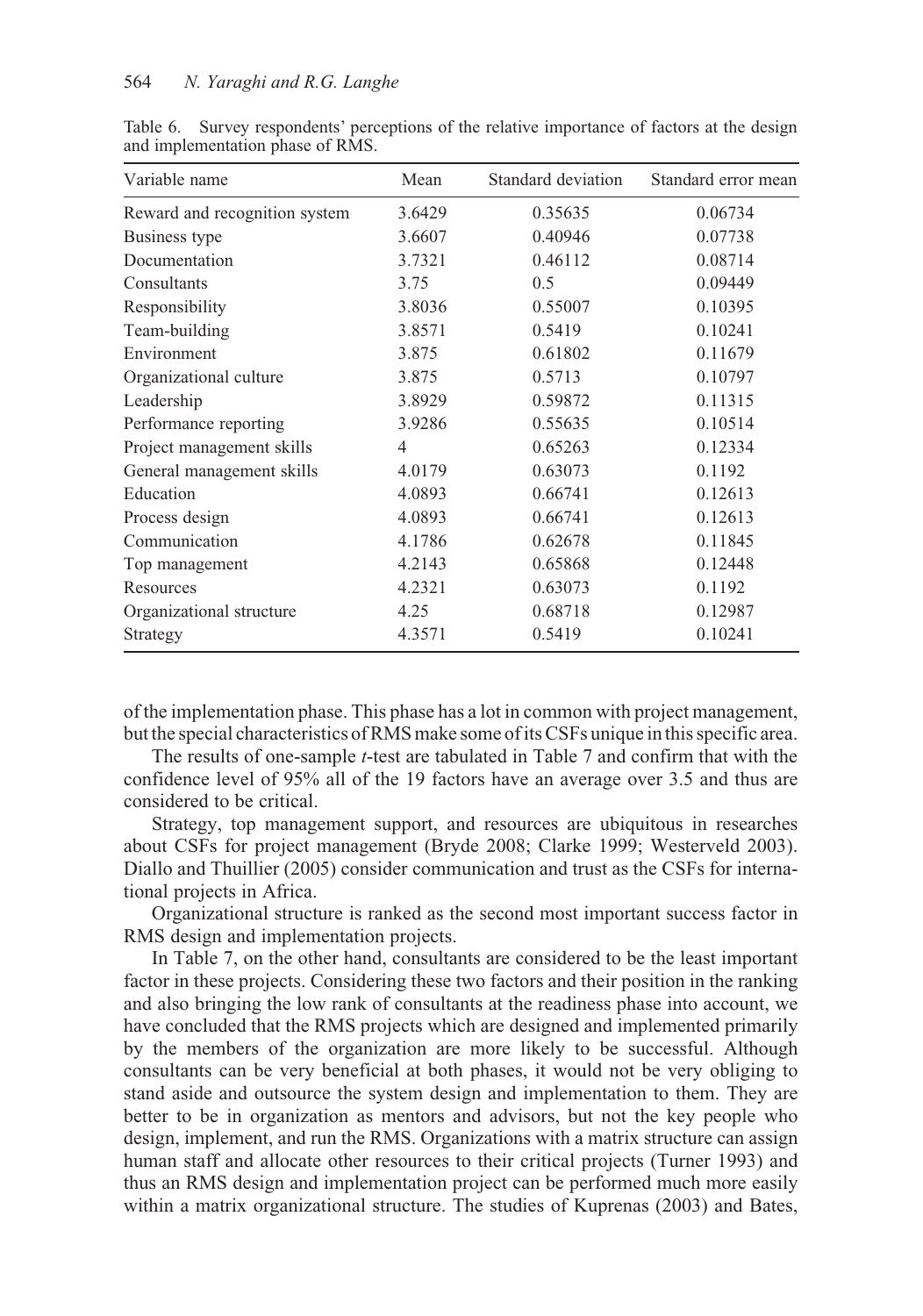| Variable name                 | Mean   | Standard deviation | Standard error mean |
|-------------------------------|--------|--------------------|---------------------|
| Reward and recognition system | 3.6429 | 0.35635            | 0.06734             |
| Business type                 | 3.6607 | 0.40946            | 0.07738             |
| Documentation                 | 3.7321 | 0.46112            | 0.08714             |
| Consultants                   | 3.75   | 0.5                | 0.09449             |
| Responsibility                | 3.8036 | 0.55007            | 0.10395             |
| Team-building                 | 3.8571 | 0.5419             | 0.10241             |
| Environment                   | 3.875  | 0.61802            | 0.11679             |
| Organizational culture        | 3.875  | 0.5713             | 0.10797             |
| Leadership                    | 3.8929 | 0.59872            | 0.11315             |
| Performance reporting         | 3.9286 | 0.55635            | 0.10514             |
| Project management skills     | 4      | 0.65263            | 0.12334             |
| General management skills     | 4.0179 | 0.63073            | 0.1192              |
| Education                     | 4.0893 | 0.66741            | 0.12613             |
| Process design                | 4.0893 | 0.66741            | 0.12613             |
| Communication                 | 4.1786 | 0.62678            | 0.11845             |
| Top management                | 4.2143 | 0.65868            | 0.12448             |
| Resources                     | 4.2321 | 0.63073            | 0.1192              |
| Organizational structure      | 4.25   | 0.68718            | 0.12987             |
| Strategy                      | 4.3571 | 0.5419             | 0.10241             |

Table 6. Survey respondents' perceptions of the relative importance of factors at the design and implementation phase of RMS.

of the implementation phase. This phase has a lot in common with project management, but the special characteristics of RMS make some of its CSFs unique in this specific area.

The results of one-sample *t*-test are tabulated in Table 7 and confirm that with the confidence level of 95% all of the 19 factors have an average over 3.5 and thus are considered to be critical.

Strategy, top management support, and resources are ubiquitous in researches about CSFs for project management (Bryde 2008; Clarke 1999; Westerveld 2003). Diallo and Thuillier (2005) consider communication and trust as the CSFs for international projects in Africa.

Organizational structure is ranked as the second most important success factor in RMS design and implementation projects.

In Table 7, on the other hand, consultants are considered to be the least important factor in these projects. Considering these two factors and their position in the ranking and also bringing the low rank of consultants at the readiness phase into account, we have concluded that the RMS projects which are designed and implemented primarily by the members of the organization are more likely to be successful. Although consultants can be very beneficial at both phases, it would not be very obliging to stand aside and outsource the system design and implementation to them. They are better to be in organization as mentors and advisors, but not the key people who design, implement, and run the RMS. Organizations with a matrix structure can assign human staff and allocate other resources to their critical projects (Turner 1993) and thus an RMS design and implementation project can be performed much more easily within a matrix organizational structure. The studies of Kuprenas (2003) and Bates,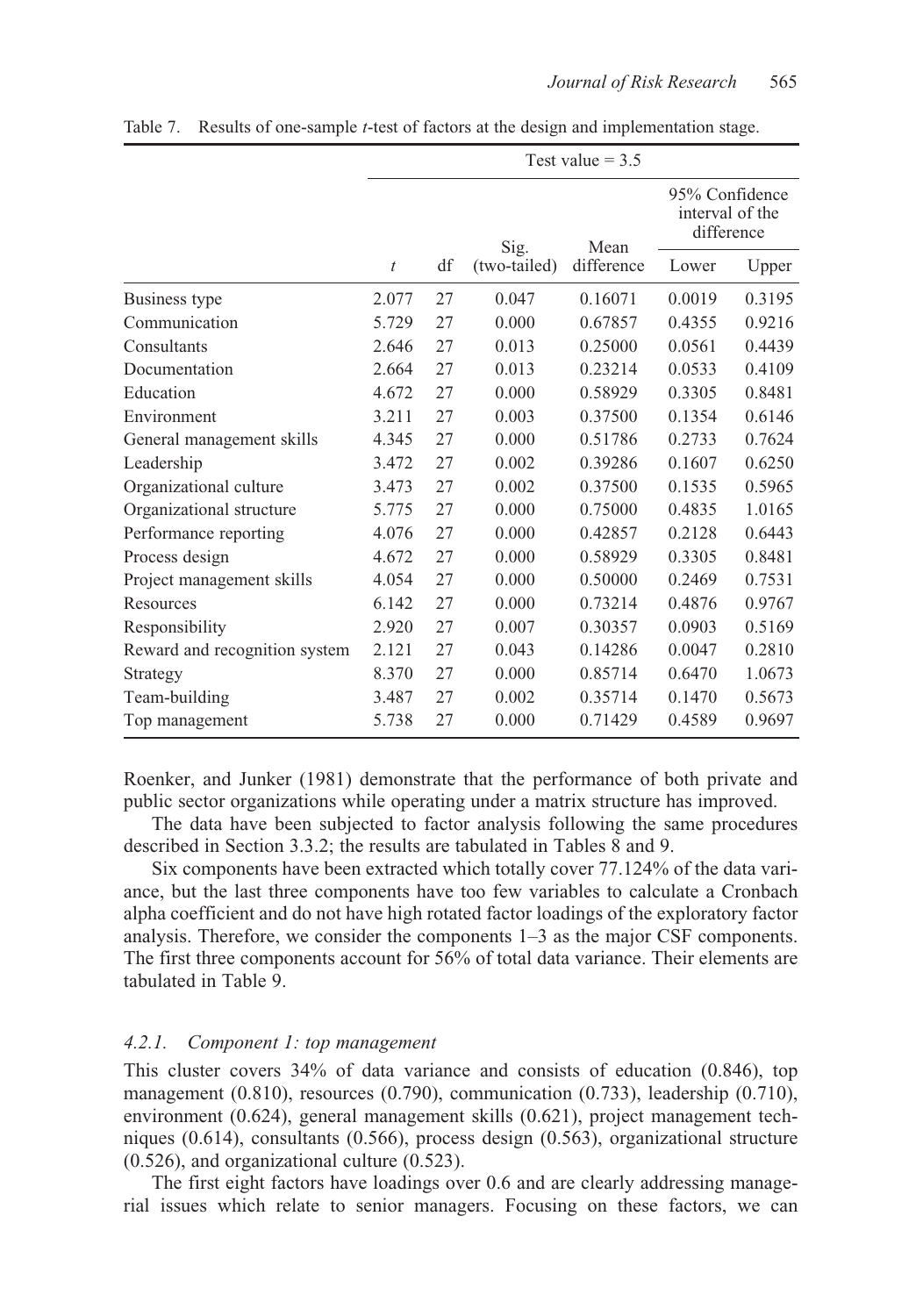|                               | Test value $= 3.5$ |    |              |            |                                                 |        |  |
|-------------------------------|--------------------|----|--------------|------------|-------------------------------------------------|--------|--|
|                               |                    |    | Sig.         | Mean       | 95% Confidence<br>interval of the<br>difference |        |  |
|                               | t                  | df | (two-tailed) | difference | Lower                                           | Upper  |  |
| Business type                 | 2.077              | 27 | 0.047        | 0.16071    | 0.0019                                          | 0.3195 |  |
| Communication                 | 5.729              | 27 | 0.000        | 0.67857    | 0.4355                                          | 0.9216 |  |
| Consultants                   | 2.646              | 27 | 0.013        | 0.25000    | 0.0561                                          | 0.4439 |  |
| Documentation                 | 2.664              | 27 | 0.013        | 0.23214    | 0.0533                                          | 0.4109 |  |
| Education                     | 4.672              | 27 | 0.000        | 0.58929    | 0.3305                                          | 0.8481 |  |
| Environment                   | 3.211              | 27 | 0.003        | 0.37500    | 0.1354                                          | 0.6146 |  |
| General management skills     | 4.345              | 27 | 0.000        | 0.51786    | 0.2733                                          | 0.7624 |  |
| Leadership                    | 3.472              | 27 | 0.002        | 0.39286    | 0.1607                                          | 0.6250 |  |
| Organizational culture        | 3.473              | 27 | 0.002        | 0.37500    | 0.1535                                          | 0.5965 |  |
| Organizational structure      | 5.775              | 27 | 0.000        | 0.75000    | 0.4835                                          | 1.0165 |  |
| Performance reporting         | 4.076              | 27 | 0.000        | 0.42857    | 0.2128                                          | 0.6443 |  |
| Process design                | 4.672              | 27 | 0.000        | 0.58929    | 0.3305                                          | 0.8481 |  |
| Project management skills     | 4.054              | 27 | 0.000        | 0.50000    | 0.2469                                          | 0.7531 |  |
| Resources                     | 6.142              | 27 | 0.000        | 0.73214    | 0.4876                                          | 0.9767 |  |
| Responsibility                | 2.920              | 27 | 0.007        | 0.30357    | 0.0903                                          | 0.5169 |  |
| Reward and recognition system | 2.121              | 27 | 0.043        | 0.14286    | 0.0047                                          | 0.2810 |  |
| Strategy                      | 8.370              | 27 | 0.000        | 0.85714    | 0.6470                                          | 1.0673 |  |
| Team-building                 | 3.487              | 27 | 0.002        | 0.35714    | 0.1470                                          | 0.5673 |  |
| Top management                | 5.738              | 27 | 0.000        | 0.71429    | 0.4589                                          | 0.9697 |  |

Table 7. Results of one-sample *t*-test of factors at the design and implementation stage.

Roenker, and Junker (1981) demonstrate that the performance of both private and public sector organizations while operating under a matrix structure has improved.

The data have been subjected to factor analysis following the same procedures described in Section 3.3.2; the results are tabulated in Tables 8 and 9.

Six components have been extracted which totally cover 77.124% of the data variance, but the last three components have too few variables to calculate a Cronbach alpha coefficient and do not have high rotated factor loadings of the exploratory factor analysis. Therefore, we consider the components 1–3 as the major CSF components. The first three components account for 56% of total data variance. Their elements are tabulated in Table 9.

### *4.2.1. Component 1: top management*

This cluster covers 34% of data variance and consists of education (0.846), top management (0.810), resources (0.790), communication (0.733), leadership (0.710), environment (0.624), general management skills (0.621), project management techniques (0.614), consultants (0.566), process design (0.563), organizational structure (0.526), and organizational culture (0.523).

The first eight factors have loadings over 0.6 and are clearly addressing managerial issues which relate to senior managers. Focusing on these factors, we can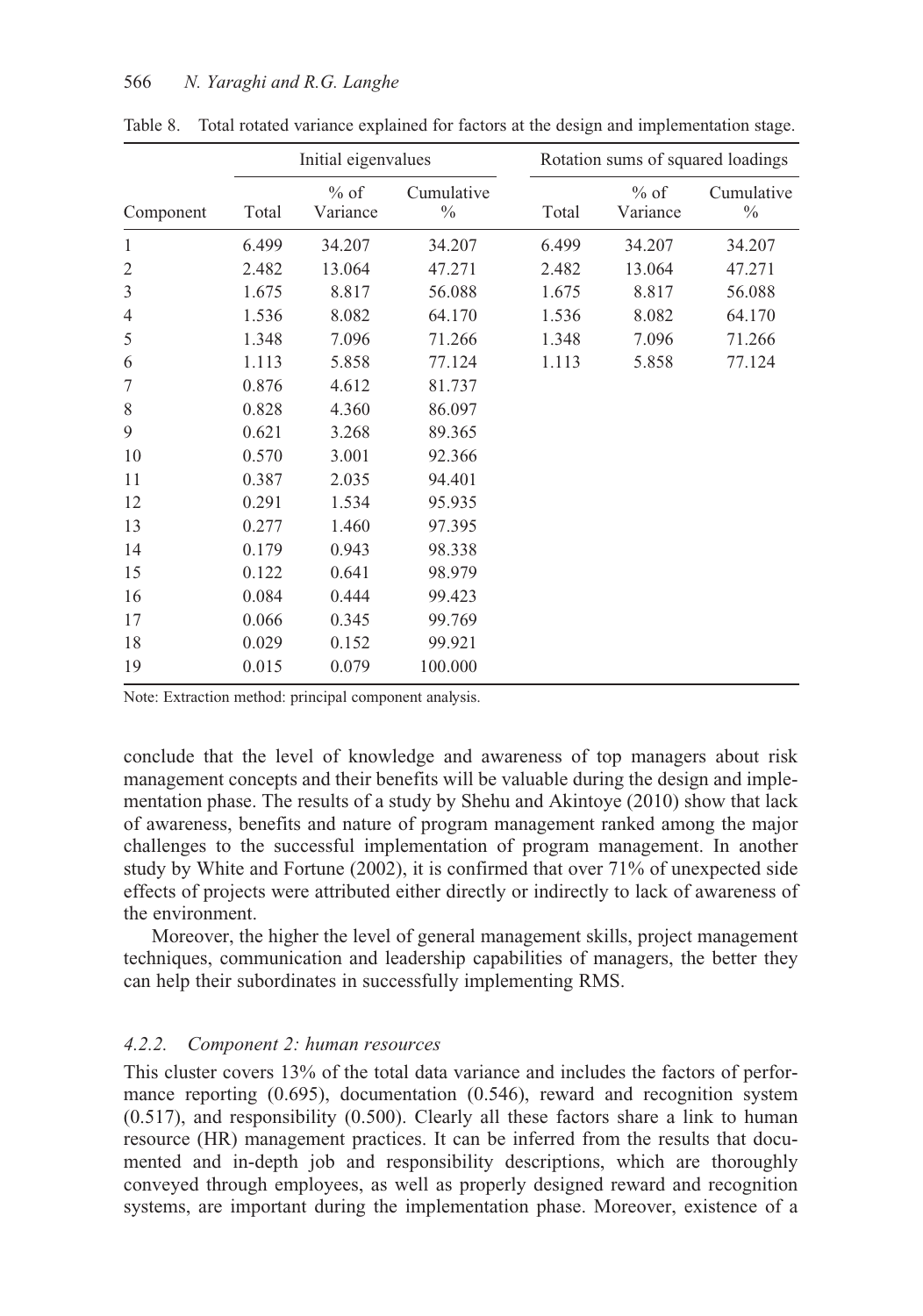|                |       | Initial eigenvalues |                    |       | Rotation sums of squared loadings |                    |
|----------------|-------|---------------------|--------------------|-------|-----------------------------------|--------------------|
| Component      | Total | $%$ of<br>Variance  | Cumulative<br>$\%$ | Total | $%$ of<br>Variance                | Cumulative<br>$\%$ |
| $\mathbf{1}$   | 6.499 | 34.207              | 34.207             | 6.499 | 34.207                            | 34.207             |
| $\overline{2}$ | 2.482 | 13.064              | 47.271             | 2.482 | 13.064                            | 47.271             |
| $\mathfrak{Z}$ | 1.675 | 8.817               | 56.088             | 1.675 | 8.817                             | 56.088             |
| 4              | 1.536 | 8.082               | 64.170             | 1.536 | 8.082                             | 64.170             |
| 5              | 1.348 | 7.096               | 71.266             | 1.348 | 7.096                             | 71.266             |
| 6              | 1.113 | 5.858               | 77.124             | 1.113 | 5.858                             | 77.124             |
| 7              | 0.876 | 4.612               | 81.737             |       |                                   |                    |
| 8              | 0.828 | 4.360               | 86.097             |       |                                   |                    |
| 9              | 0.621 | 3.268               | 89.365             |       |                                   |                    |
| 10             | 0.570 | 3.001               | 92.366             |       |                                   |                    |
| 11             | 0.387 | 2.035               | 94.401             |       |                                   |                    |
| 12             | 0.291 | 1.534               | 95.935             |       |                                   |                    |
| 13             | 0.277 | 1.460               | 97.395             |       |                                   |                    |
| 14             | 0.179 | 0.943               | 98.338             |       |                                   |                    |
| 15             | 0.122 | 0.641               | 98.979             |       |                                   |                    |
| 16             | 0.084 | 0.444               | 99.423             |       |                                   |                    |
| 17             | 0.066 | 0.345               | 99.769             |       |                                   |                    |
| 18             | 0.029 | 0.152               | 99.921             |       |                                   |                    |
| 19             | 0.015 | 0.079               | 100.000            |       |                                   |                    |

Table 8. Total rotated variance explained for factors at the design and implementation stage.

Note: Extraction method: principal component analysis.

conclude that the level of knowledge and awareness of top managers about risk management concepts and their benefits will be valuable during the design and implementation phase. The results of a study by Shehu and Akintoye (2010) show that lack of awareness, benefits and nature of program management ranked among the major challenges to the successful implementation of program management. In another study by White and Fortune (2002), it is confirmed that over 71% of unexpected side effects of projects were attributed either directly or indirectly to lack of awareness of the environment.

Moreover, the higher the level of general management skills, project management techniques, communication and leadership capabilities of managers, the better they can help their subordinates in successfully implementing RMS.

#### *4.2.2. Component 2: human resources*

This cluster covers 13% of the total data variance and includes the factors of performance reporting (0.695), documentation (0.546), reward and recognition system (0.517), and responsibility (0.500). Clearly all these factors share a link to human resource (HR) management practices. It can be inferred from the results that documented and in-depth job and responsibility descriptions, which are thoroughly conveyed through employees, as well as properly designed reward and recognition systems, are important during the implementation phase. Moreover, existence of a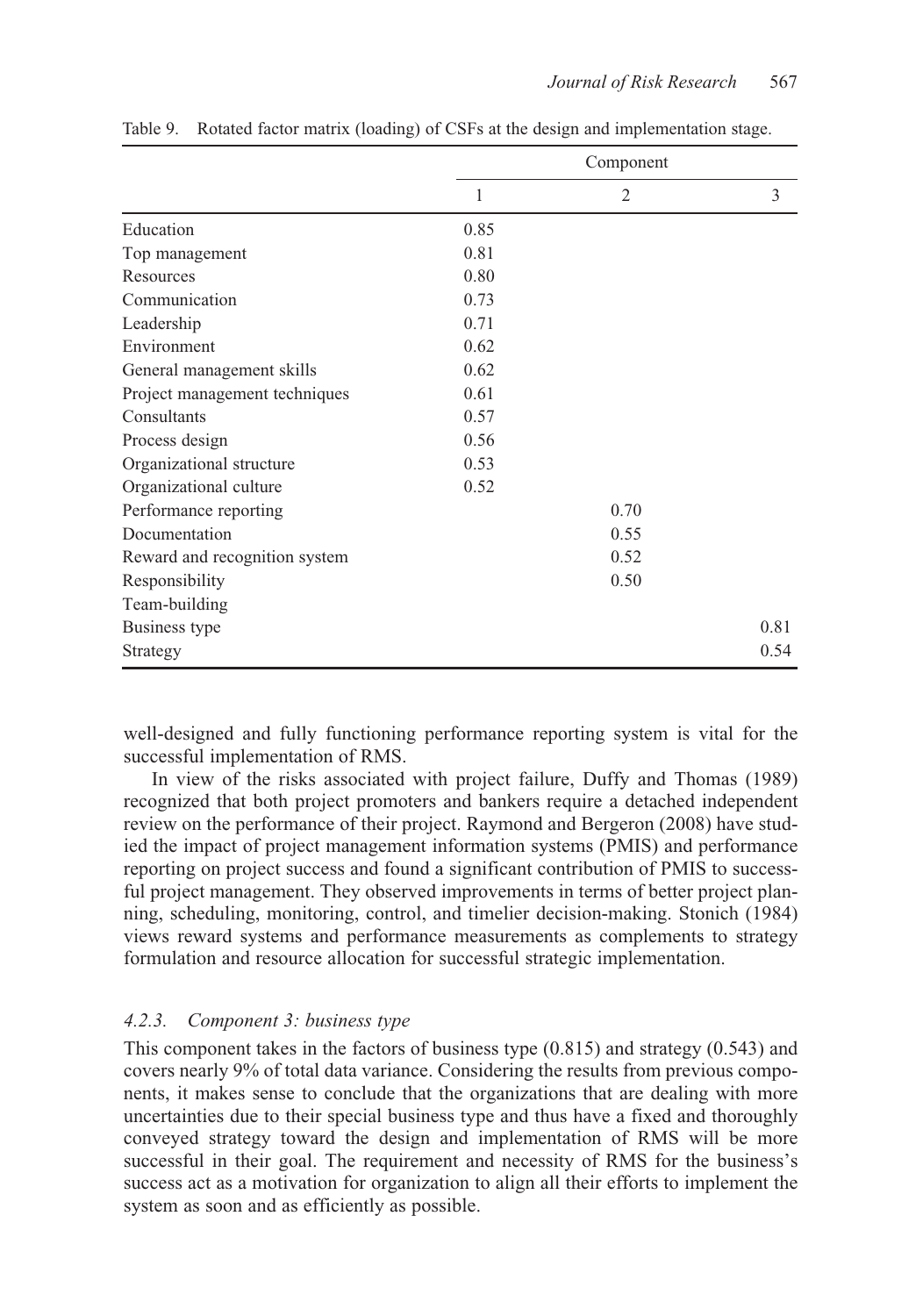|                               |      | Component           |  |
|-------------------------------|------|---------------------|--|
|                               | 1    | 3<br>$\overline{2}$ |  |
| Education                     | 0.85 |                     |  |
| Top management                | 0.81 |                     |  |
| Resources                     | 0.80 |                     |  |
| Communication                 | 0.73 |                     |  |
| Leadership                    | 0.71 |                     |  |
| Environment                   | 0.62 |                     |  |
| General management skills     | 0.62 |                     |  |
| Project management techniques | 0.61 |                     |  |
| Consultants                   | 0.57 |                     |  |
| Process design                | 0.56 |                     |  |
| Organizational structure      | 0.53 |                     |  |
| Organizational culture        | 0.52 |                     |  |
| Performance reporting         |      | 0.70                |  |
| Documentation                 |      | 0.55                |  |
| Reward and recognition system |      | 0.52                |  |
| Responsibility                |      | 0.50                |  |
| Team-building                 |      |                     |  |
| Business type                 |      | 0.81                |  |
| Strategy                      |      | 0.54                |  |

Table 9. Rotated factor matrix (loading) of CSFs at the design and implementation stage.

well-designed and fully functioning performance reporting system is vital for the successful implementation of RMS.

In view of the risks associated with project failure, Duffy and Thomas (1989) recognized that both project promoters and bankers require a detached independent review on the performance of their project. Raymond and Bergeron (2008) have studied the impact of project management information systems (PMIS) and performance reporting on project success and found a significant contribution of PMIS to successful project management. They observed improvements in terms of better project planning, scheduling, monitoring, control, and timelier decision-making. Stonich (1984) views reward systems and performance measurements as complements to strategy formulation and resource allocation for successful strategic implementation.

### *4.2.3. Component 3: business type*

This component takes in the factors of business type (0.815) and strategy (0.543) and covers nearly 9% of total data variance. Considering the results from previous components, it makes sense to conclude that the organizations that are dealing with more uncertainties due to their special business type and thus have a fixed and thoroughly conveyed strategy toward the design and implementation of RMS will be more successful in their goal. The requirement and necessity of RMS for the business's success act as a motivation for organization to align all their efforts to implement the system as soon and as efficiently as possible.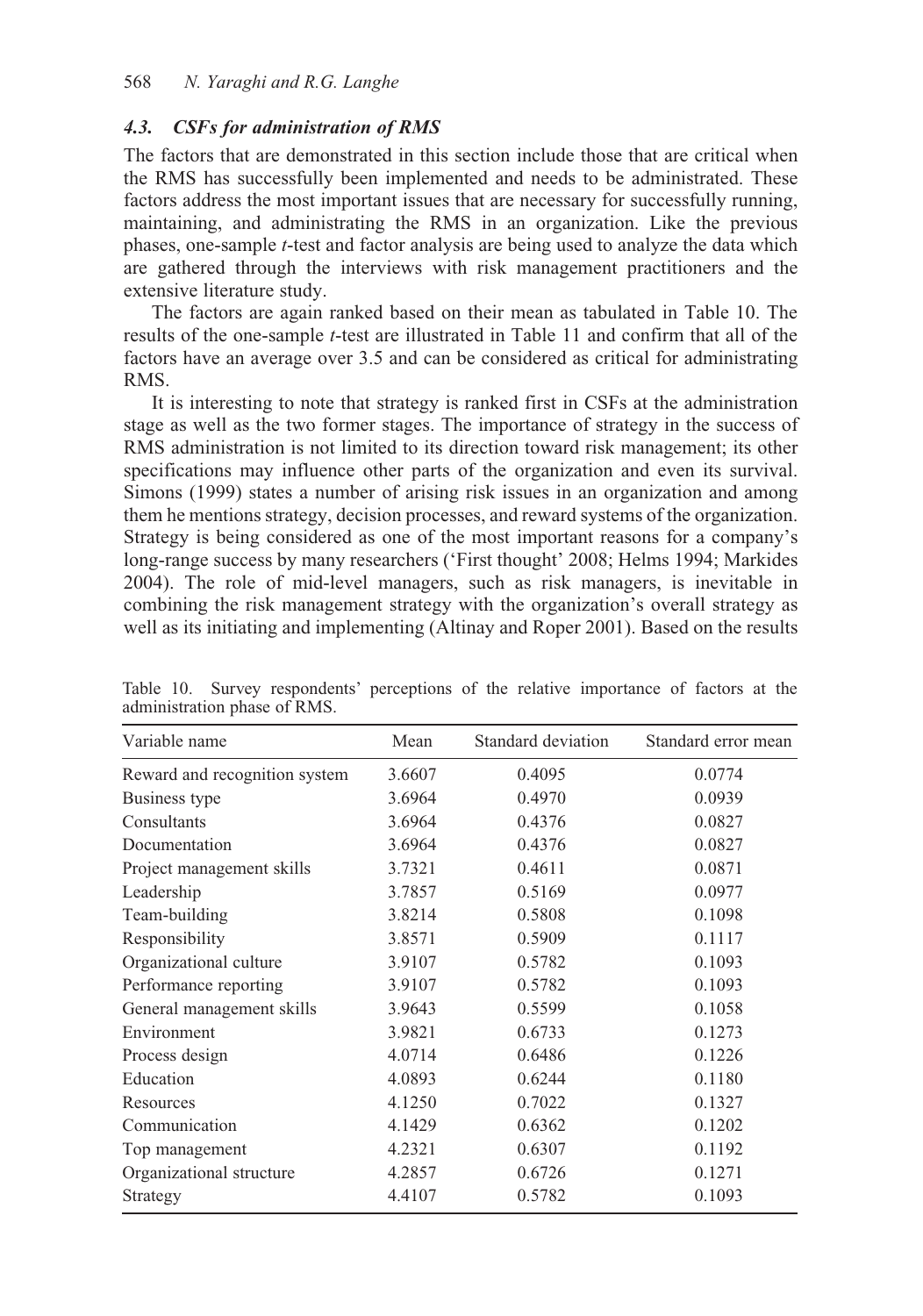### *4.3. CSFs for administration of RMS*

The factors that are demonstrated in this section include those that are critical when the RMS has successfully been implemented and needs to be administrated. These factors address the most important issues that are necessary for successfully running, maintaining, and administrating the RMS in an organization. Like the previous phases, one-sample *t*-test and factor analysis are being used to analyze the data which are gathered through the interviews with risk management practitioners and the extensive literature study.

The factors are again ranked based on their mean as tabulated in Table 10. The results of the one-sample *t*-test are illustrated in Table 11 and confirm that all of the factors have an average over 3.5 and can be considered as critical for administrating RMS.

It is interesting to note that strategy is ranked first in CSFs at the administration stage as well as the two former stages. The importance of strategy in the success of RMS administration is not limited to its direction toward risk management; its other specifications may influence other parts of the organization and even its survival. Simons (1999) states a number of arising risk issues in an organization and among them he mentions strategy, decision processes, and reward systems of the organization. Strategy is being considered as one of the most important reasons for a company's long-range success by many researchers ('First thought' 2008; Helms 1994; Markides 2004). The role of mid-level managers, such as risk managers, is inevitable in combining the risk management strategy with the organization's overall strategy as well as its initiating and implementing (Altinay and Roper 2001). Based on the results

| Variable name                 | Mean   | Standard deviation | Standard error mean |
|-------------------------------|--------|--------------------|---------------------|
| Reward and recognition system | 3.6607 | 0.4095             | 0.0774              |
| Business type                 | 3.6964 | 0.4970             | 0.0939              |
| Consultants                   | 3.6964 | 0.4376             | 0.0827              |
| Documentation                 | 3.6964 | 0.4376             | 0.0827              |
| Project management skills     | 3.7321 | 0.4611             | 0.0871              |
| Leadership                    | 3.7857 | 0.5169             | 0.0977              |
| Team-building                 | 3.8214 | 0.5808             | 0.1098              |
| Responsibility                | 3.8571 | 0.5909             | 0.1117              |
| Organizational culture        | 3.9107 | 0.5782             | 0.1093              |
| Performance reporting         | 3.9107 | 0.5782             | 0.1093              |
| General management skills     | 3.9643 | 0.5599             | 0.1058              |
| Environment                   | 3.9821 | 0.6733             | 0.1273              |
| Process design                | 4.0714 | 0.6486             | 0.1226              |
| Education                     | 4.0893 | 0.6244             | 0.1180              |
| Resources                     | 4.1250 | 0.7022             | 0.1327              |
| Communication                 | 4.1429 | 0.6362             | 0.1202              |
| Top management                | 4.2321 | 0.6307             | 0.1192              |
| Organizational structure      | 4.2857 | 0.6726             | 0.1271              |
| Strategy                      | 4.4107 | 0.5782             | 0.1093              |

Table 10. Survey respondents' perceptions of the relative importance of factors at the administration phase of RMS.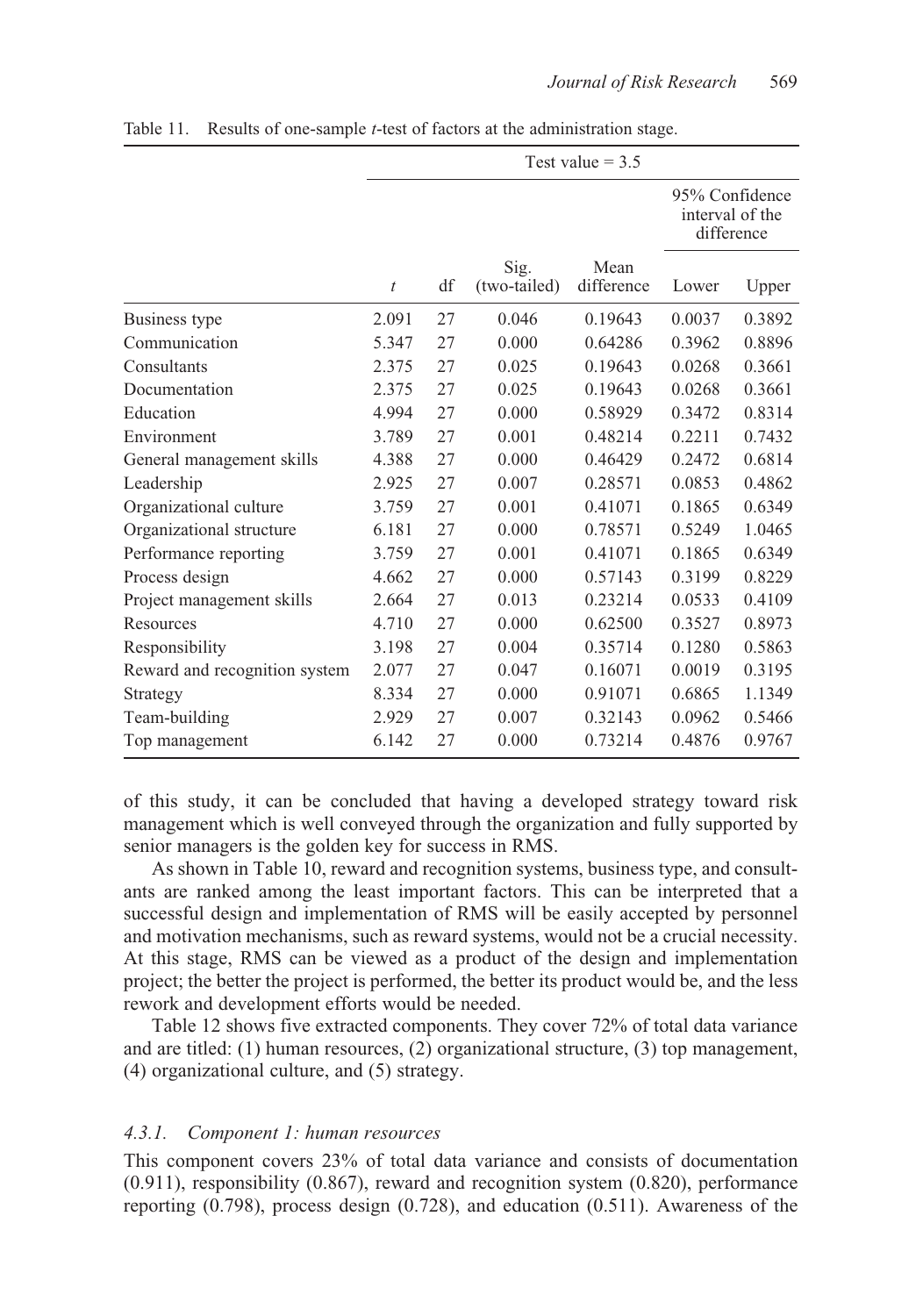|                               | Test value $=$ 3.5 |    |                      |                    |                                                 |        |  |  |
|-------------------------------|--------------------|----|----------------------|--------------------|-------------------------------------------------|--------|--|--|
|                               |                    |    |                      |                    | 95% Confidence<br>interval of the<br>difference |        |  |  |
|                               | $\bar{t}$          | df | Sig.<br>(two-tailed) | Mean<br>difference | Lower                                           | Upper  |  |  |
| Business type                 | 2.091              | 27 | 0.046                | 0.19643            | 0.0037                                          | 0.3892 |  |  |
| Communication                 | 5.347              | 27 | 0.000                | 0.64286            | 0.3962                                          | 0.8896 |  |  |
| Consultants                   | 2.375              | 27 | 0.025                | 0.19643            | 0.0268                                          | 0.3661 |  |  |
| Documentation                 | 2.375              | 27 | 0.025                | 0.19643            | 0.0268                                          | 0.3661 |  |  |
| Education                     | 4.994              | 27 | 0.000                | 0.58929            | 0.3472                                          | 0.8314 |  |  |
| Environment                   | 3.789              | 27 | 0.001                | 0.48214            | 0.2211                                          | 0.7432 |  |  |
| General management skills     | 4.388              | 27 | 0.000                | 0.46429            | 0.2472                                          | 0.6814 |  |  |
| Leadership                    | 2.925              | 27 | 0.007                | 0.28571            | 0.0853                                          | 0.4862 |  |  |
| Organizational culture        | 3.759              | 27 | 0.001                | 0.41071            | 0.1865                                          | 0.6349 |  |  |
| Organizational structure      | 6.181              | 27 | 0.000                | 0.78571            | 0.5249                                          | 1.0465 |  |  |
| Performance reporting         | 3.759              | 27 | 0.001                | 0.41071            | 0.1865                                          | 0.6349 |  |  |
| Process design                | 4.662              | 27 | 0.000                | 0.57143            | 0.3199                                          | 0.8229 |  |  |
| Project management skills     | 2.664              | 27 | 0.013                | 0.23214            | 0.0533                                          | 0.4109 |  |  |
| Resources                     | 4.710              | 27 | 0.000                | 0.62500            | 0.3527                                          | 0.8973 |  |  |
| Responsibility                | 3.198              | 27 | 0.004                | 0.35714            | 0.1280                                          | 0.5863 |  |  |
| Reward and recognition system | 2.077              | 27 | 0.047                | 0.16071            | 0.0019                                          | 0.3195 |  |  |
| Strategy                      | 8.334              | 27 | 0.000                | 0.91071            | 0.6865                                          | 1.1349 |  |  |
| Team-building                 | 2.929              | 27 | 0.007                | 0.32143            | 0.0962                                          | 0.5466 |  |  |
| Top management                | 6.142              | 27 | 0.000                | 0.73214            | 0.4876                                          | 0.9767 |  |  |

Table 11. Results of one-sample *t*-test of factors at the administration stage.

of this study, it can be concluded that having a developed strategy toward risk management which is well conveyed through the organization and fully supported by senior managers is the golden key for success in RMS.

As shown in Table 10, reward and recognition systems, business type, and consultants are ranked among the least important factors. This can be interpreted that a successful design and implementation of RMS will be easily accepted by personnel and motivation mechanisms, such as reward systems, would not be a crucial necessity. At this stage, RMS can be viewed as a product of the design and implementation project; the better the project is performed, the better its product would be, and the less rework and development efforts would be needed.

Table 12 shows five extracted components. They cover 72% of total data variance and are titled: (1) human resources, (2) organizational structure, (3) top management, (4) organizational culture, and (5) strategy.

### *4.3.1. Component 1: human resources*

This component covers 23% of total data variance and consists of documentation (0.911), responsibility (0.867), reward and recognition system (0.820), performance reporting (0.798), process design (0.728), and education (0.511). Awareness of the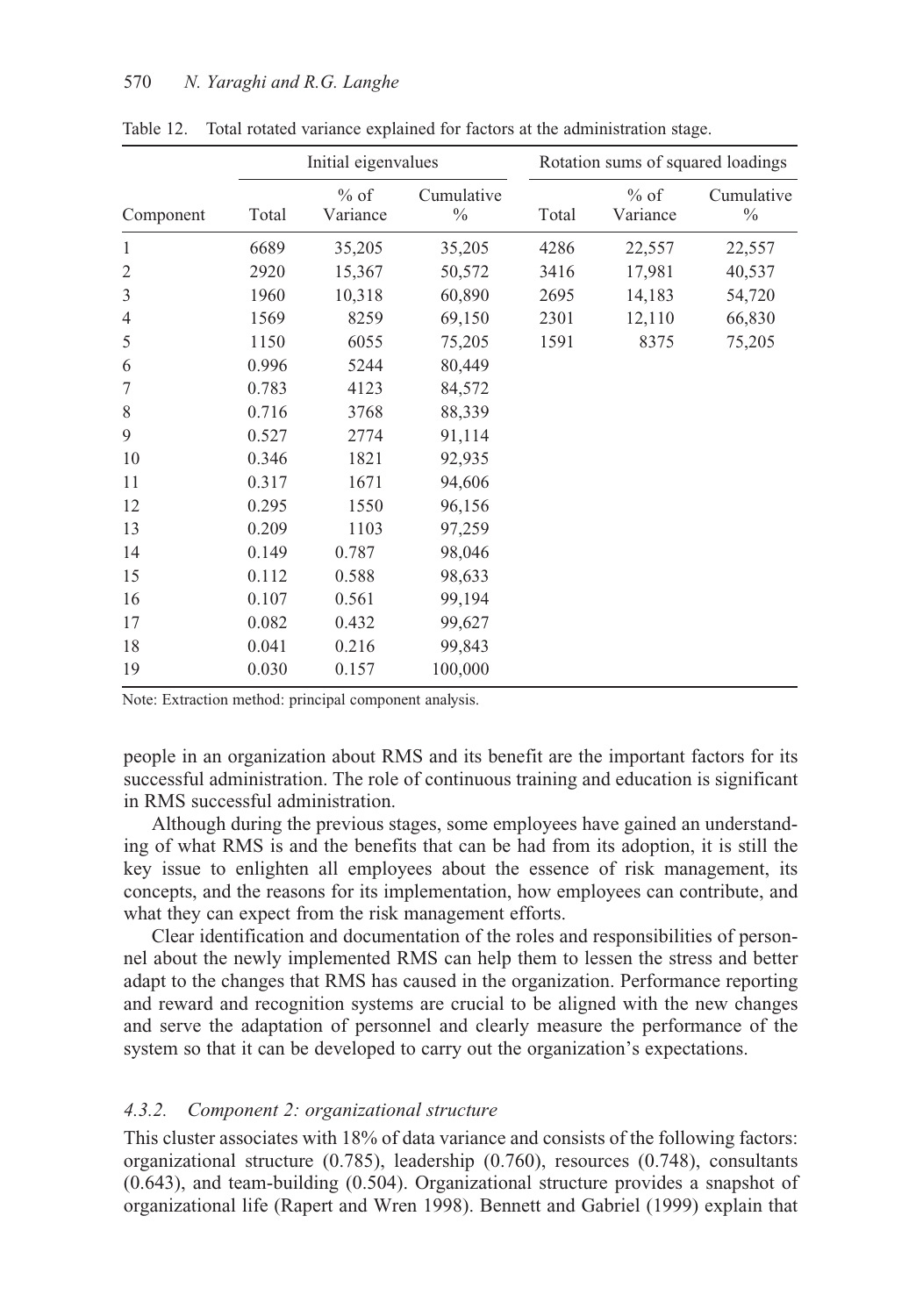|           | Initial eigenvalues |                    |                    | Rotation sums of squared loadings |                    |                    |  |
|-----------|---------------------|--------------------|--------------------|-----------------------------------|--------------------|--------------------|--|
| Component | Total               | $%$ of<br>Variance | Cumulative<br>$\%$ | Total                             | $%$ of<br>Variance | Cumulative<br>$\%$ |  |
| 1         | 6689                | 35,205             | 35,205             | 4286                              | 22,557             | 22,557             |  |
| 2         | 2920                | 15,367             | 50,572             | 3416                              | 17,981             | 40,537             |  |
| 3         | 1960                | 10,318             | 60,890             | 2695                              | 14,183             | 54,720             |  |
| 4         | 1569                | 8259               | 69,150             | 2301                              | 12,110             | 66,830             |  |
| 5         | 1150                | 6055               | 75,205             | 1591                              | 8375               | 75,205             |  |
| 6         | 0.996               | 5244               | 80,449             |                                   |                    |                    |  |
| 7         | 0.783               | 4123               | 84,572             |                                   |                    |                    |  |
| 8         | 0.716               | 3768               | 88,339             |                                   |                    |                    |  |
| 9         | 0.527               | 2774               | 91,114             |                                   |                    |                    |  |
| 10        | 0.346               | 1821               | 92,935             |                                   |                    |                    |  |
| 11        | 0.317               | 1671               | 94,606             |                                   |                    |                    |  |
| 12        | 0.295               | 1550               | 96,156             |                                   |                    |                    |  |
| 13        | 0.209               | 1103               | 97,259             |                                   |                    |                    |  |
| 14        | 0.149               | 0.787              | 98,046             |                                   |                    |                    |  |
| 15        | 0.112               | 0.588              | 98,633             |                                   |                    |                    |  |
| 16        | 0.107               | 0.561              | 99,194             |                                   |                    |                    |  |
| 17        | 0.082               | 0.432              | 99,627             |                                   |                    |                    |  |
| 18        | 0.041               | 0.216              | 99,843             |                                   |                    |                    |  |
| 19        | 0.030               | 0.157              | 100,000            |                                   |                    |                    |  |

Table 12. Total rotated variance explained for factors at the administration stage.

Note: Extraction method: principal component analysis.

people in an organization about RMS and its benefit are the important factors for its successful administration. The role of continuous training and education is significant in RMS successful administration.

Although during the previous stages, some employees have gained an understanding of what RMS is and the benefits that can be had from its adoption, it is still the key issue to enlighten all employees about the essence of risk management, its concepts, and the reasons for its implementation, how employees can contribute, and what they can expect from the risk management efforts.

Clear identification and documentation of the roles and responsibilities of personnel about the newly implemented RMS can help them to lessen the stress and better adapt to the changes that RMS has caused in the organization. Performance reporting and reward and recognition systems are crucial to be aligned with the new changes and serve the adaptation of personnel and clearly measure the performance of the system so that it can be developed to carry out the organization's expectations.

#### *4.3.2. Component 2: organizational structure*

This cluster associates with 18% of data variance and consists of the following factors: organizational structure (0.785), leadership (0.760), resources (0.748), consultants (0.643), and team-building (0.504). Organizational structure provides a snapshot of organizational life (Rapert and Wren 1998). Bennett and Gabriel (1999) explain that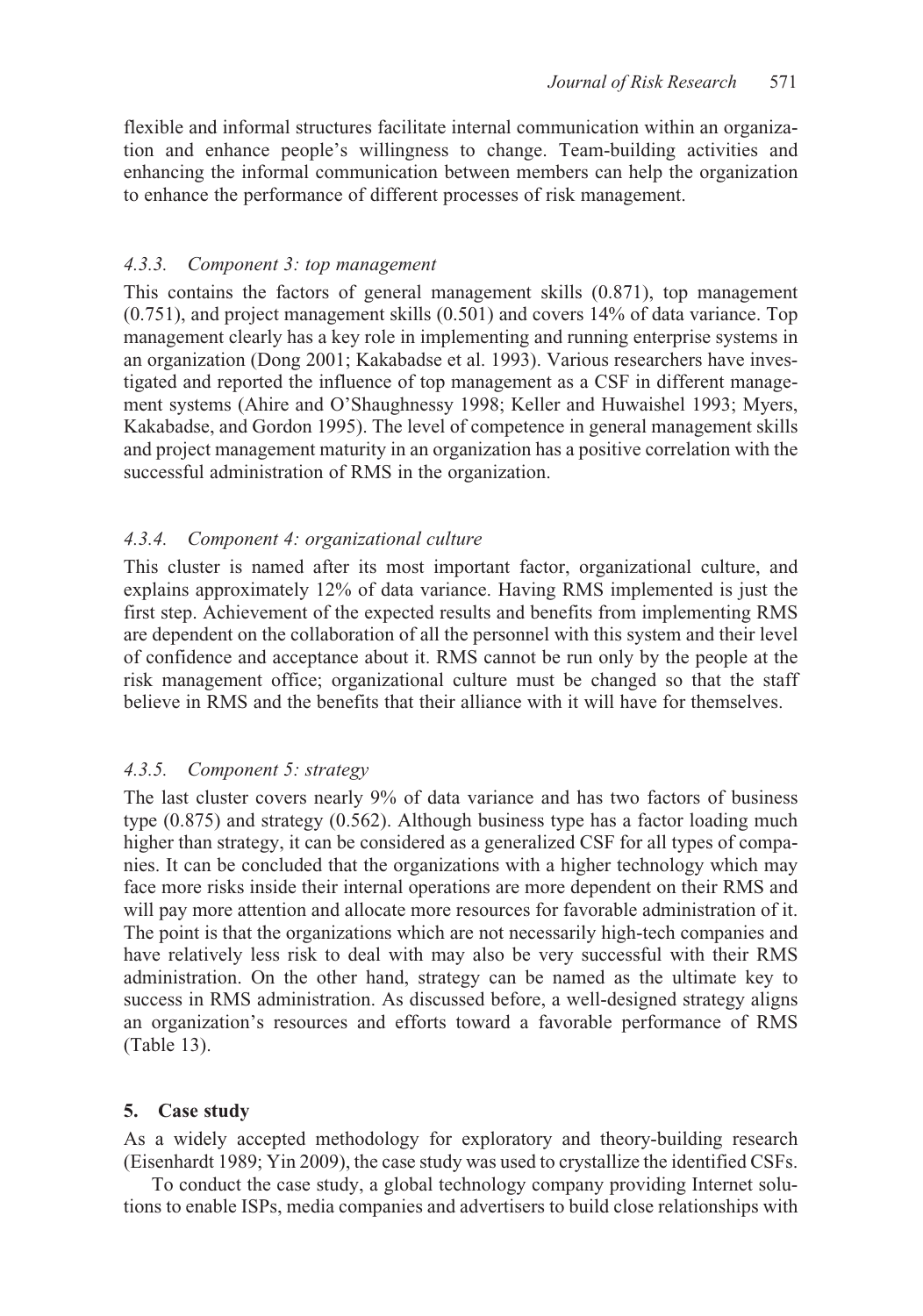flexible and informal structures facilitate internal communication within an organization and enhance people's willingness to change. Team-building activities and enhancing the informal communication between members can help the organization to enhance the performance of different processes of risk management.

### *4.3.3. Component 3: top management*

This contains the factors of general management skills (0.871), top management (0.751), and project management skills (0.501) and covers 14% of data variance. Top management clearly has a key role in implementing and running enterprise systems in an organization (Dong 2001; Kakabadse et al. 1993). Various researchers have investigated and reported the influence of top management as a CSF in different management systems (Ahire and O'Shaughnessy 1998; Keller and Huwaishel 1993; Myers, Kakabadse, and Gordon 1995). The level of competence in general management skills and project management maturity in an organization has a positive correlation with the successful administration of RMS in the organization.

### *4.3.4. Component 4: organizational culture*

This cluster is named after its most important factor, organizational culture, and explains approximately 12% of data variance. Having RMS implemented is just the first step. Achievement of the expected results and benefits from implementing RMS are dependent on the collaboration of all the personnel with this system and their level of confidence and acceptance about it. RMS cannot be run only by the people at the risk management office; organizational culture must be changed so that the staff believe in RMS and the benefits that their alliance with it will have for themselves.

### *4.3.5. Component 5: strategy*

The last cluster covers nearly 9% of data variance and has two factors of business type (0.875) and strategy (0.562). Although business type has a factor loading much higher than strategy, it can be considered as a generalized CSF for all types of companies. It can be concluded that the organizations with a higher technology which may face more risks inside their internal operations are more dependent on their RMS and will pay more attention and allocate more resources for favorable administration of it. The point is that the organizations which are not necessarily high-tech companies and have relatively less risk to deal with may also be very successful with their RMS administration. On the other hand, strategy can be named as the ultimate key to success in RMS administration. As discussed before, a well-designed strategy aligns an organization's resources and efforts toward a favorable performance of RMS (Table 13).

### **5. Case study**

As a widely accepted methodology for exploratory and theory-building research (Eisenhardt 1989; Yin 2009), the case study was used to crystallize the identified CSFs.

To conduct the case study, a global technology company providing Internet solutions to enable ISPs, media companies and advertisers to build close relationships with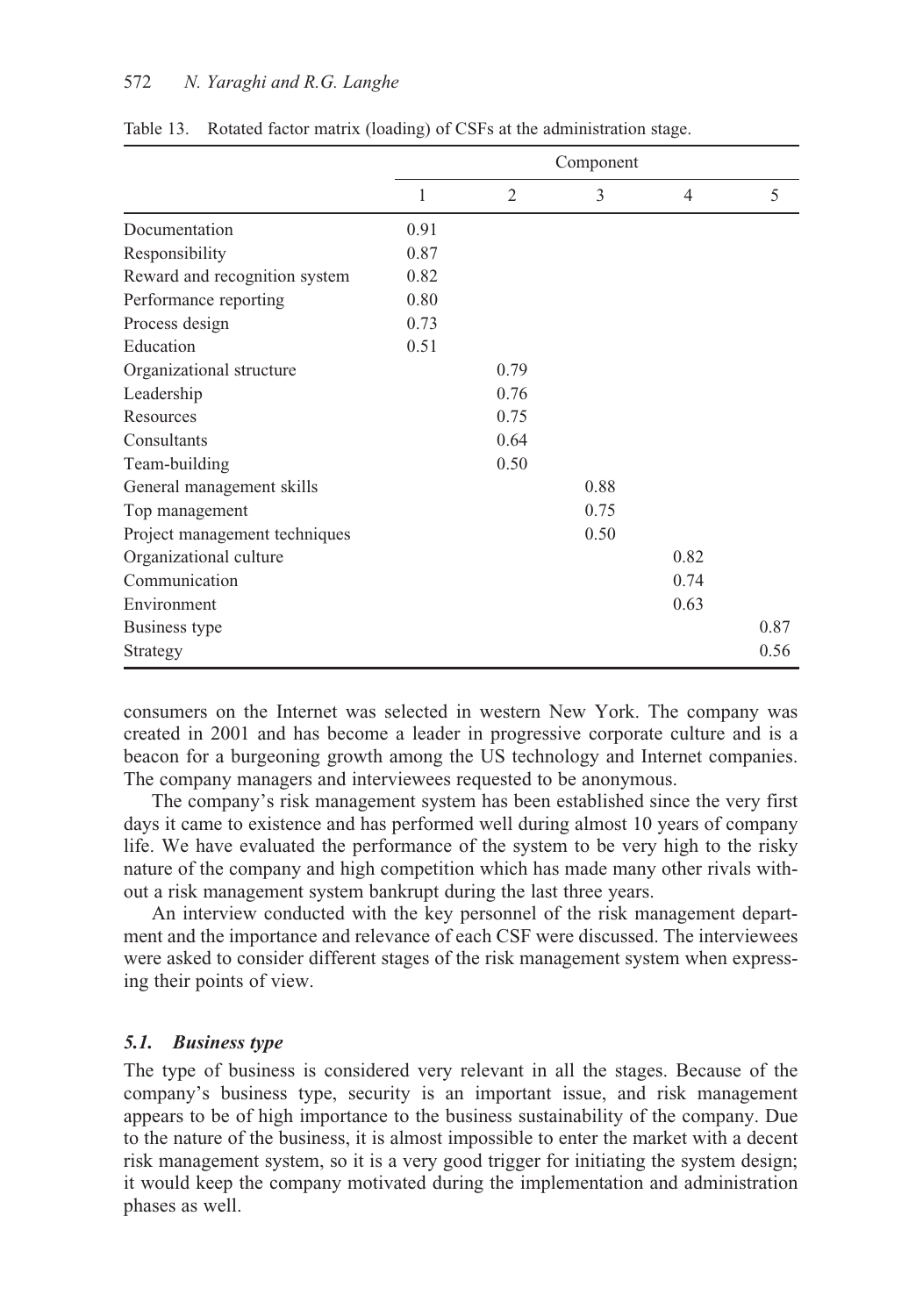#### 572 *N. Yaraghi and R.G. Langhe*

|                               | Component |                |      |      |      |  |  |
|-------------------------------|-----------|----------------|------|------|------|--|--|
|                               | 1         | $\overline{2}$ | 3    | 4    | 5    |  |  |
| Documentation                 | 0.91      |                |      |      |      |  |  |
| Responsibility                | 0.87      |                |      |      |      |  |  |
| Reward and recognition system | 0.82      |                |      |      |      |  |  |
| Performance reporting         | 0.80      |                |      |      |      |  |  |
| Process design                | 0.73      |                |      |      |      |  |  |
| Education                     | 0.51      |                |      |      |      |  |  |
| Organizational structure      |           | 0.79           |      |      |      |  |  |
| Leadership                    |           | 0.76           |      |      |      |  |  |
| Resources                     |           | 0.75           |      |      |      |  |  |
| Consultants                   |           | 0.64           |      |      |      |  |  |
| Team-building                 |           | 0.50           |      |      |      |  |  |
| General management skills     |           |                | 0.88 |      |      |  |  |
| Top management                |           |                | 0.75 |      |      |  |  |
| Project management techniques |           |                | 0.50 |      |      |  |  |
| Organizational culture        |           |                |      | 0.82 |      |  |  |
| Communication                 |           |                |      | 0.74 |      |  |  |
| Environment                   |           |                |      | 0.63 |      |  |  |
| Business type                 |           |                |      |      | 0.87 |  |  |
| Strategy                      |           |                |      |      | 0.56 |  |  |

Table 13. Rotated factor matrix (loading) of CSFs at the administration stage.

consumers on the Internet was selected in western New York. The company was created in 2001 and has become a leader in progressive corporate culture and is a beacon for a burgeoning growth among the US technology and Internet companies. The company managers and interviewees requested to be anonymous.

The company's risk management system has been established since the very first days it came to existence and has performed well during almost 10 years of company life. We have evaluated the performance of the system to be very high to the risky nature of the company and high competition which has made many other rivals without a risk management system bankrupt during the last three years.

An interview conducted with the key personnel of the risk management department and the importance and relevance of each CSF were discussed. The interviewees were asked to consider different stages of the risk management system when expressing their points of view.

### *5.1. Business type*

The type of business is considered very relevant in all the stages. Because of the company's business type, security is an important issue, and risk management appears to be of high importance to the business sustainability of the company. Due to the nature of the business, it is almost impossible to enter the market with a decent risk management system, so it is a very good trigger for initiating the system design; it would keep the company motivated during the implementation and administration phases as well.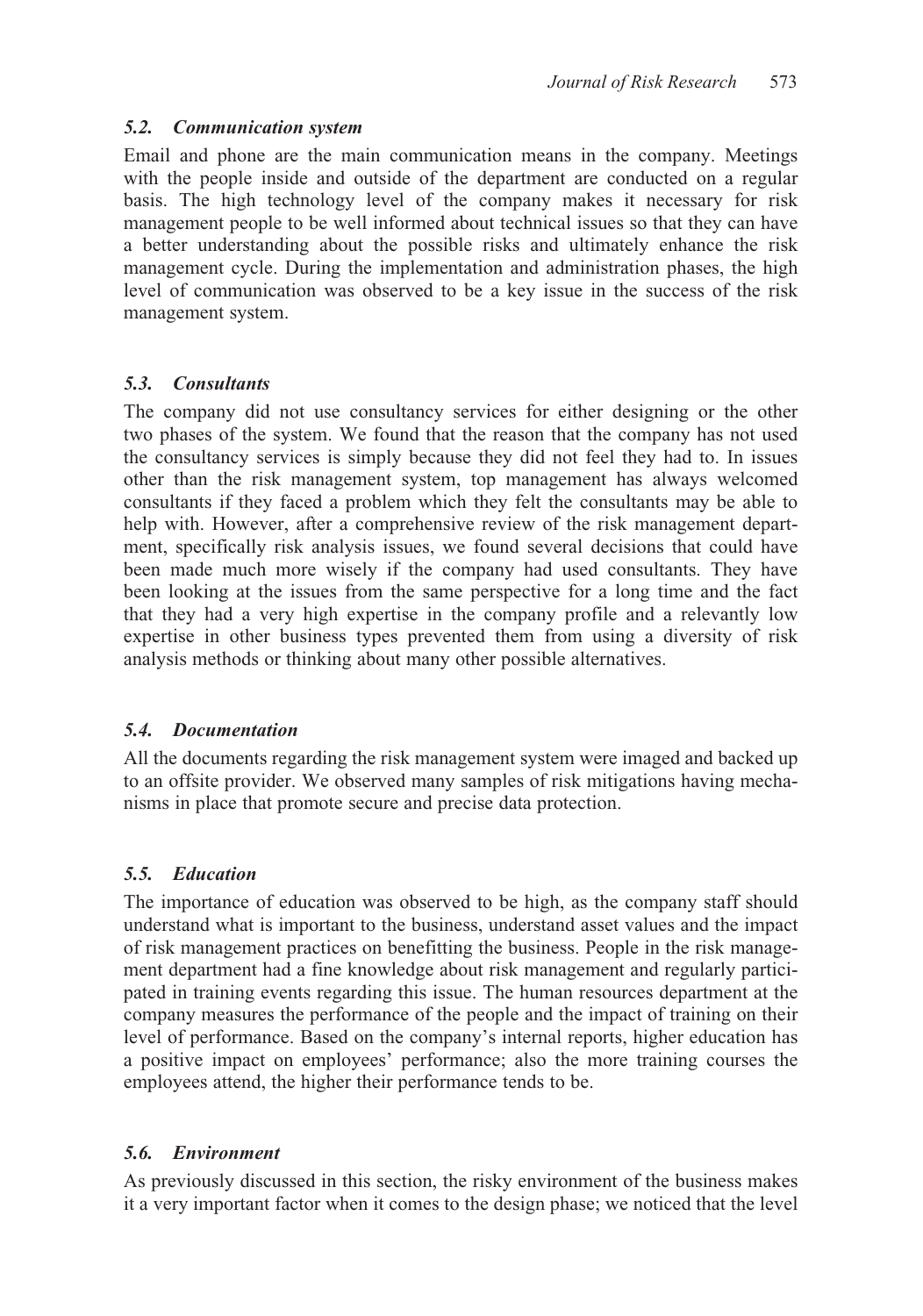### *5.2. Communication system*

Email and phone are the main communication means in the company. Meetings with the people inside and outside of the department are conducted on a regular basis. The high technology level of the company makes it necessary for risk management people to be well informed about technical issues so that they can have a better understanding about the possible risks and ultimately enhance the risk management cycle. During the implementation and administration phases, the high level of communication was observed to be a key issue in the success of the risk management system.

# *5.3. Consultants*

The company did not use consultancy services for either designing or the other two phases of the system. We found that the reason that the company has not used the consultancy services is simply because they did not feel they had to. In issues other than the risk management system, top management has always welcomed consultants if they faced a problem which they felt the consultants may be able to help with. However, after a comprehensive review of the risk management department, specifically risk analysis issues, we found several decisions that could have been made much more wisely if the company had used consultants. They have been looking at the issues from the same perspective for a long time and the fact that they had a very high expertise in the company profile and a relevantly low expertise in other business types prevented them from using a diversity of risk analysis methods or thinking about many other possible alternatives.

# *5.4. Documentation*

All the documents regarding the risk management system were imaged and backed up to an offsite provider. We observed many samples of risk mitigations having mechanisms in place that promote secure and precise data protection.

# *5.5. Education*

The importance of education was observed to be high, as the company staff should understand what is important to the business, understand asset values and the impact of risk management practices on benefitting the business. People in the risk management department had a fine knowledge about risk management and regularly participated in training events regarding this issue. The human resources department at the company measures the performance of the people and the impact of training on their level of performance. Based on the company's internal reports, higher education has a positive impact on employees' performance; also the more training courses the employees attend, the higher their performance tends to be.

# *5.6. Environment*

As previously discussed in this section, the risky environment of the business makes it a very important factor when it comes to the design phase; we noticed that the level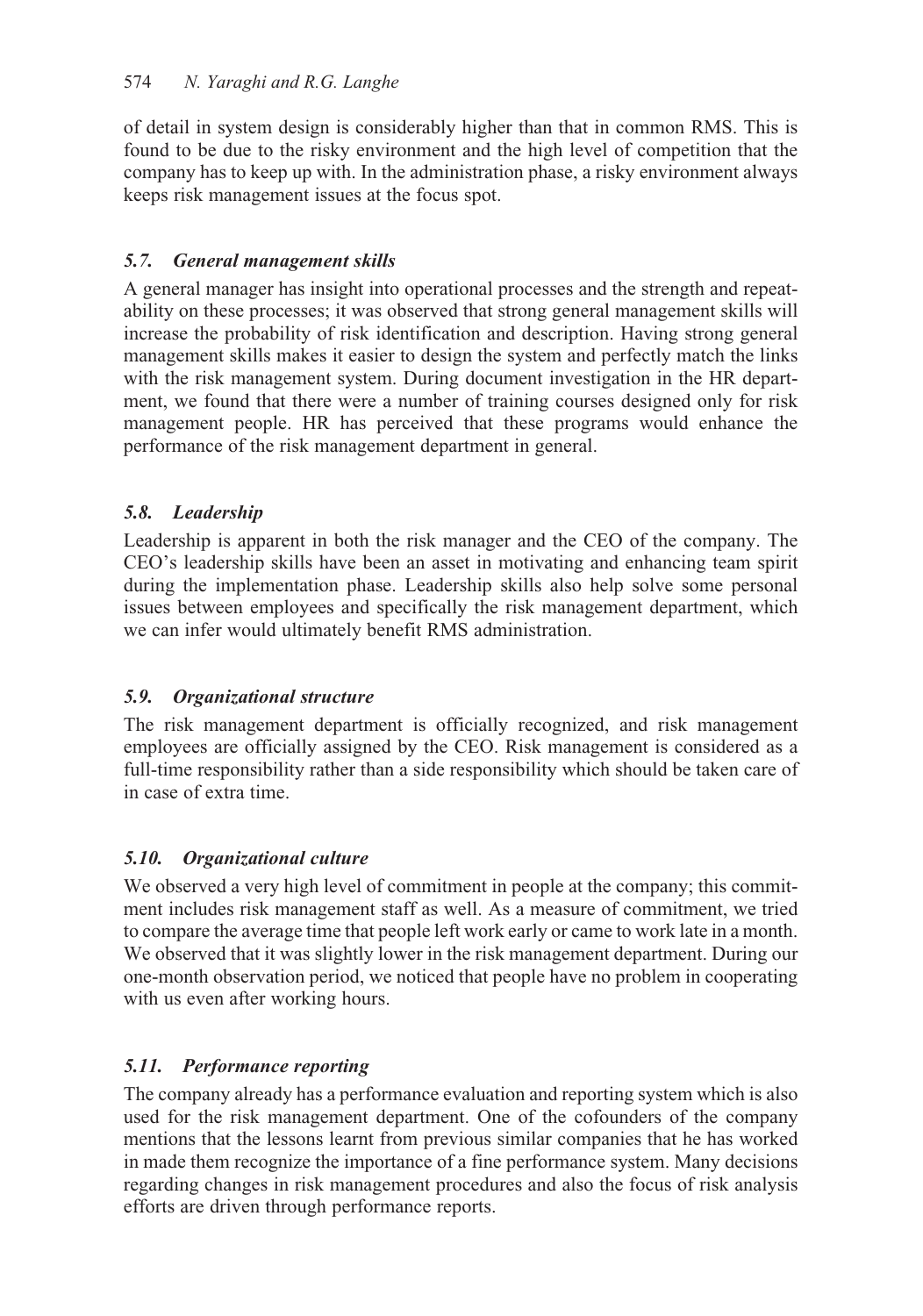of detail in system design is considerably higher than that in common RMS. This is found to be due to the risky environment and the high level of competition that the company has to keep up with. In the administration phase, a risky environment always keeps risk management issues at the focus spot.

# *5.7. General management skills*

A general manager has insight into operational processes and the strength and repeatability on these processes; it was observed that strong general management skills will increase the probability of risk identification and description. Having strong general management skills makes it easier to design the system and perfectly match the links with the risk management system. During document investigation in the HR department, we found that there were a number of training courses designed only for risk management people. HR has perceived that these programs would enhance the performance of the risk management department in general.

# *5.8. Leadership*

Leadership is apparent in both the risk manager and the CEO of the company. The CEO's leadership skills have been an asset in motivating and enhancing team spirit during the implementation phase. Leadership skills also help solve some personal issues between employees and specifically the risk management department, which we can infer would ultimately benefit RMS administration.

# *5.9. Organizational structure*

The risk management department is officially recognized, and risk management employees are officially assigned by the CEO. Risk management is considered as a full-time responsibility rather than a side responsibility which should be taken care of in case of extra time.

# *5.10. Organizational culture*

We observed a very high level of commitment in people at the company; this commitment includes risk management staff as well. As a measure of commitment, we tried to compare the average time that people left work early or came to work late in a month. We observed that it was slightly lower in the risk management department. During our one-month observation period, we noticed that people have no problem in cooperating with us even after working hours.

# *5.11. Performance reporting*

The company already has a performance evaluation and reporting system which is also used for the risk management department. One of the cofounders of the company mentions that the lessons learnt from previous similar companies that he has worked in made them recognize the importance of a fine performance system. Many decisions regarding changes in risk management procedures and also the focus of risk analysis efforts are driven through performance reports.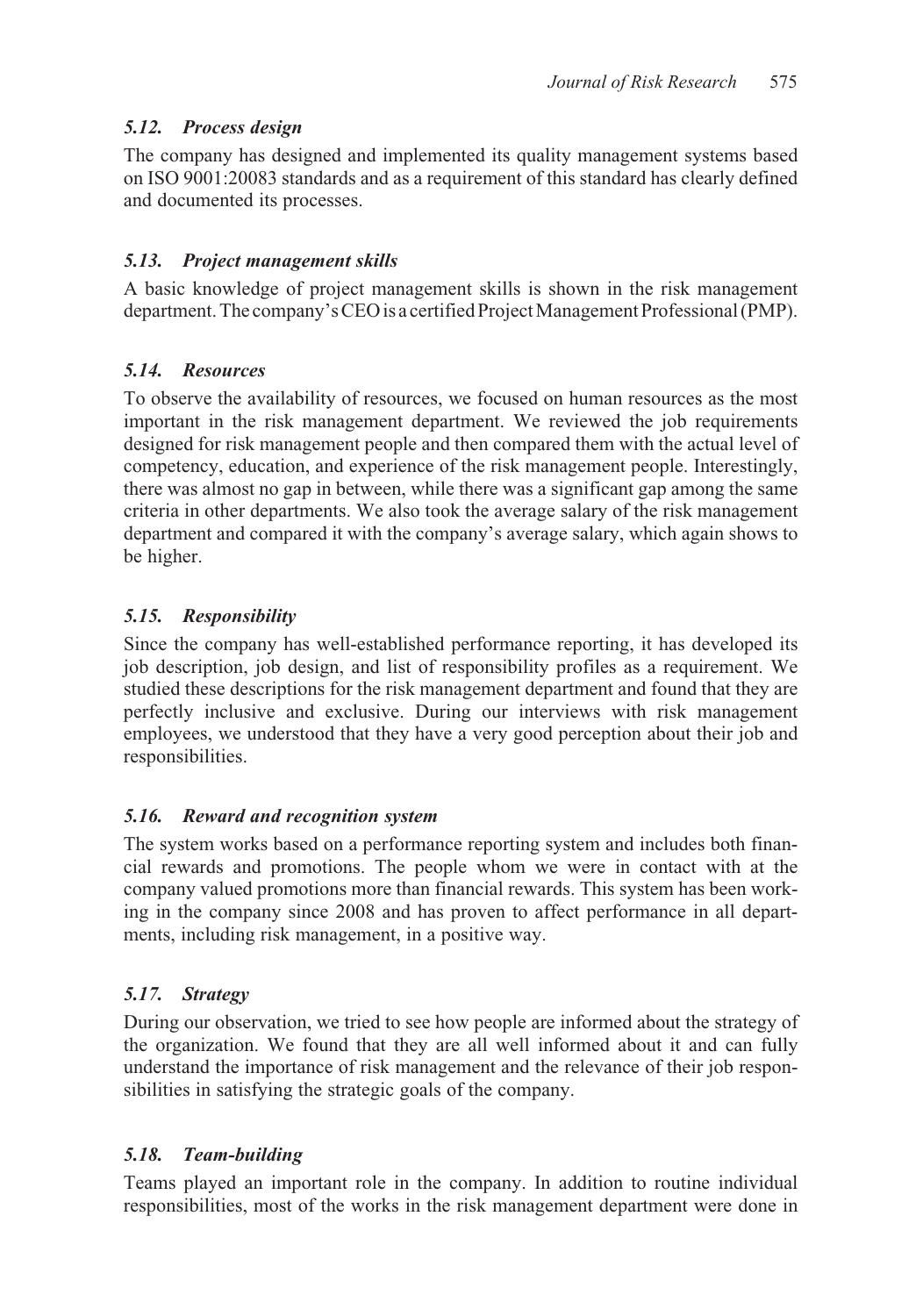# *5.12. Process design*

The company has designed and implemented its quality management systems based on ISO 9001:20083 standards and as a requirement of this standard has clearly defined and documented its processes.

# *5.13. Project management skills*

A basic knowledge of project management skills is shown in the risk management department. The company's CEO is a certified Project Management Professional (PMP).

# *5.14. Resources*

To observe the availability of resources, we focused on human resources as the most important in the risk management department. We reviewed the job requirements designed for risk management people and then compared them with the actual level of competency, education, and experience of the risk management people. Interestingly, there was almost no gap in between, while there was a significant gap among the same criteria in other departments. We also took the average salary of the risk management department and compared it with the company's average salary, which again shows to be higher.

# *5.15. Responsibility*

Since the company has well-established performance reporting, it has developed its job description, job design, and list of responsibility profiles as a requirement. We studied these descriptions for the risk management department and found that they are perfectly inclusive and exclusive. During our interviews with risk management employees, we understood that they have a very good perception about their job and responsibilities.

# *5.16. Reward and recognition system*

The system works based on a performance reporting system and includes both financial rewards and promotions. The people whom we were in contact with at the company valued promotions more than financial rewards. This system has been working in the company since 2008 and has proven to affect performance in all departments, including risk management, in a positive way.

# *5.17. Strategy*

During our observation, we tried to see how people are informed about the strategy of the organization. We found that they are all well informed about it and can fully understand the importance of risk management and the relevance of their job responsibilities in satisfying the strategic goals of the company.

# *5.18. Team-building*

Teams played an important role in the company. In addition to routine individual responsibilities, most of the works in the risk management department were done in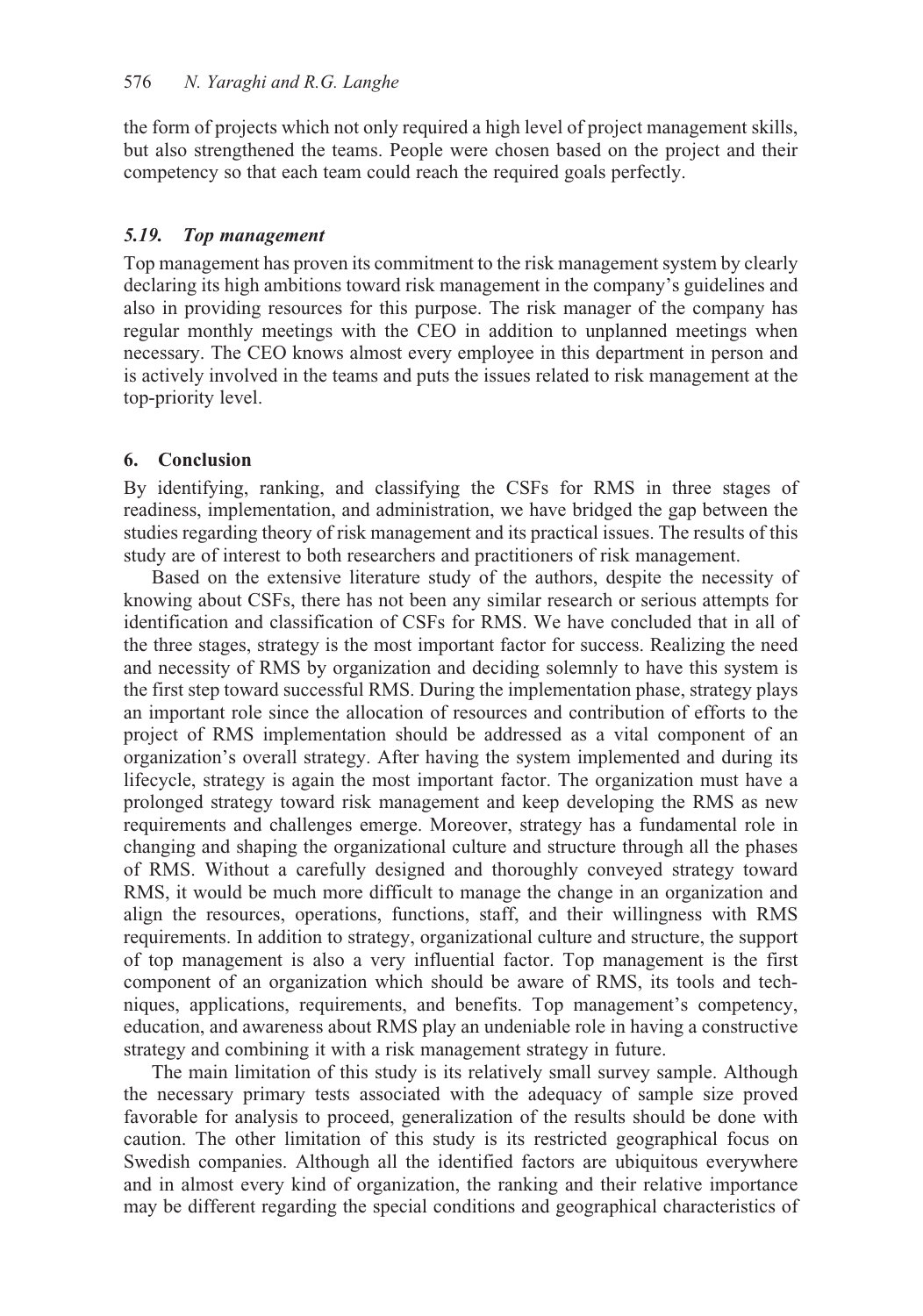the form of projects which not only required a high level of project management skills, but also strengthened the teams. People were chosen based on the project and their competency so that each team could reach the required goals perfectly.

### *5.19. Top management*

Top management has proven its commitment to the risk management system by clearly declaring its high ambitions toward risk management in the company's guidelines and also in providing resources for this purpose. The risk manager of the company has regular monthly meetings with the CEO in addition to unplanned meetings when necessary. The CEO knows almost every employee in this department in person and is actively involved in the teams and puts the issues related to risk management at the top-priority level.

### **6. Conclusion**

By identifying, ranking, and classifying the CSFs for RMS in three stages of readiness, implementation, and administration, we have bridged the gap between the studies regarding theory of risk management and its practical issues. The results of this study are of interest to both researchers and practitioners of risk management.

Based on the extensive literature study of the authors, despite the necessity of knowing about CSFs, there has not been any similar research or serious attempts for identification and classification of CSFs for RMS. We have concluded that in all of the three stages, strategy is the most important factor for success. Realizing the need and necessity of RMS by organization and deciding solemnly to have this system is the first step toward successful RMS. During the implementation phase, strategy plays an important role since the allocation of resources and contribution of efforts to the project of RMS implementation should be addressed as a vital component of an organization's overall strategy. After having the system implemented and during its lifecycle, strategy is again the most important factor. The organization must have a prolonged strategy toward risk management and keep developing the RMS as new requirements and challenges emerge. Moreover, strategy has a fundamental role in changing and shaping the organizational culture and structure through all the phases of RMS. Without a carefully designed and thoroughly conveyed strategy toward RMS, it would be much more difficult to manage the change in an organization and align the resources, operations, functions, staff, and their willingness with RMS requirements. In addition to strategy, organizational culture and structure, the support of top management is also a very influential factor. Top management is the first component of an organization which should be aware of RMS, its tools and techniques, applications, requirements, and benefits. Top management's competency, education, and awareness about RMS play an undeniable role in having a constructive strategy and combining it with a risk management strategy in future.

The main limitation of this study is its relatively small survey sample. Although the necessary primary tests associated with the adequacy of sample size proved favorable for analysis to proceed, generalization of the results should be done with caution. The other limitation of this study is its restricted geographical focus on Swedish companies. Although all the identified factors are ubiquitous everywhere and in almost every kind of organization, the ranking and their relative importance may be different regarding the special conditions and geographical characteristics of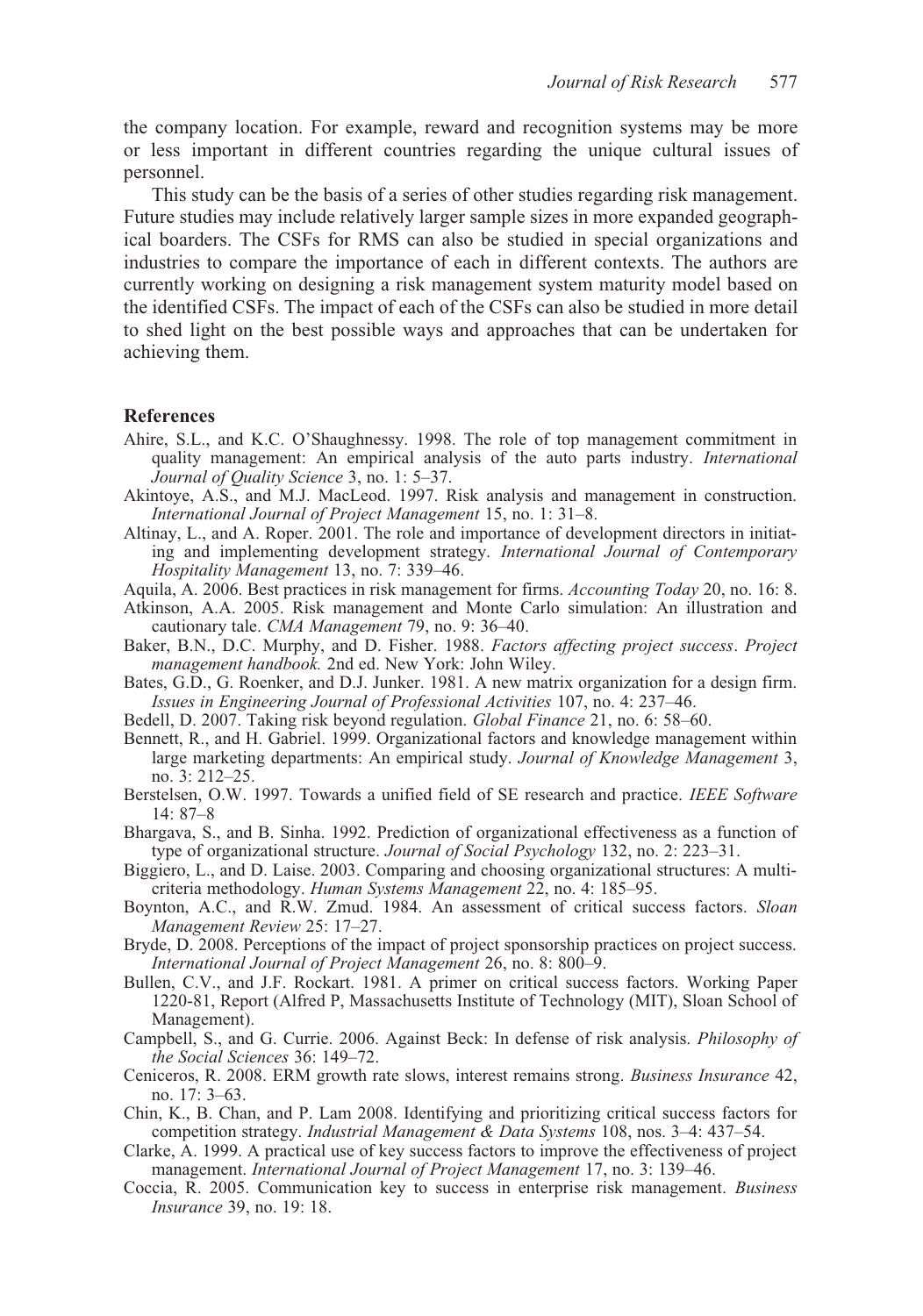the company location. For example, reward and recognition systems may be more or less important in different countries regarding the unique cultural issues of personnel.

This study can be the basis of a series of other studies regarding risk management. Future studies may include relatively larger sample sizes in more expanded geographical boarders. The CSFs for RMS can also be studied in special organizations and industries to compare the importance of each in different contexts. The authors are currently working on designing a risk management system maturity model based on the identified CSFs. The impact of each of the CSFs can also be studied in more detail to shed light on the best possible ways and approaches that can be undertaken for achieving them.

#### **References**

- Ahire, S.L., and K.C. O'Shaughnessy. 1998. The role of top management commitment in quality management: An empirical analysis of the auto parts industry. *International Journal of Quality Science* 3, no. 1: 5–37.
- Akintoye, A.S., and M.J. MacLeod. 1997. Risk analysis and management in construction. *International Journal of Project Management* 15, no. 1: 31–8.
- Altinay, L., and A. Roper. 2001. The role and importance of development directors in initiating and implementing development strategy. *International Journal of Contemporary Hospitality Management* 13, no. 7: 339–46.
- Aquila, A. 2006. Best practices in risk management for firms. *Accounting Today* 20, no. 16: 8.
- Atkinson, A.A. 2005. Risk management and Monte Carlo simulation: An illustration and cautionary tale. *CMA Management* 79, no. 9: 36–40.
- Baker, B.N., D.C. Murphy, and D. Fisher. 1988. *Factors affecting project success*. *Project management handbook.* 2nd ed. New York: John Wiley.
- Bates, G.D., G. Roenker, and D.J. Junker. 1981. A new matrix organization for a design firm. *Issues in Engineering Journal of Professional Activities* 107, no. 4: 237–46.
- Bedell, D. 2007. Taking risk beyond regulation. *Global Finance* 21, no. 6: 58–60.
- Bennett, R., and H. Gabriel. 1999. Organizational factors and knowledge management within large marketing departments: An empirical study. *Journal of Knowledge Management* 3, no. 3: 212–25.
- Berstelsen, O.W. 1997. Towards a unified field of SE research and practice. *IEEE Software* 14: 87–8
- Bhargava, S., and B. Sinha. 1992. Prediction of organizational effectiveness as a function of type of organizational structure. *Journal of Social Psychology* 132, no. 2: 223–31.
- Biggiero, L., and D. Laise. 2003. Comparing and choosing organizational structures: A multicriteria methodology. *Human Systems Management* 22, no. 4: 185–95.
- Boynton, A.C., and R.W. Zmud. 1984. An assessment of critical success factors. *Sloan Management Review* 25: 17–27.
- Bryde, D. 2008. Perceptions of the impact of project sponsorship practices on project success. *International Journal of Project Management* 26, no. 8: 800–9.
- Bullen, C.V., and J.F. Rockart. 1981. A primer on critical success factors. Working Paper 1220-81, Report (Alfred P, Massachusetts Institute of Technology (MIT), Sloan School of Management).
- Campbell, S., and G. Currie. 2006. Against Beck: In defense of risk analysis. *Philosophy of the Social Sciences* 36: 149–72.
- Ceniceros, R. 2008. ERM growth rate slows, interest remains strong. *Business Insurance* 42, no. 17: 3–63.
- Chin, K., B. Chan, and P. Lam 2008. Identifying and prioritizing critical success factors for competition strategy. *Industrial Management & Data Systems* 108, nos. 3–4: 437–54.
- Clarke, A. 1999. A practical use of key success factors to improve the effectiveness of project management. *International Journal of Project Management* 17, no. 3: 139–46.
- Coccia, R. 2005. Communication key to success in enterprise risk management. *Business Insurance* 39, no. 19: 18.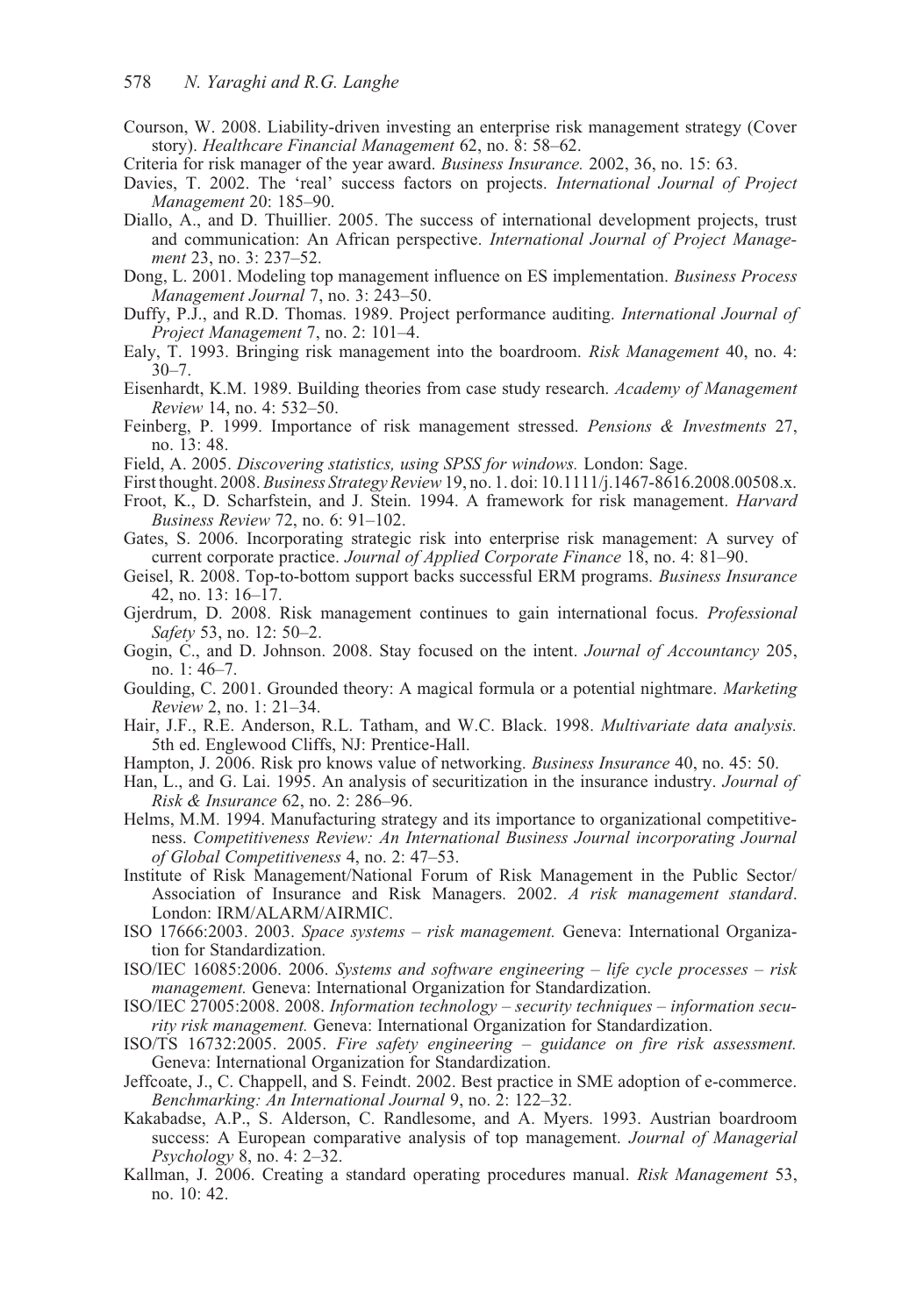- Courson, W. 2008. Liability-driven investing an enterprise risk management strategy (Cover story). *Healthcare Financial Management* 62, no. 8: 58–62.
- Criteria for risk manager of the year award. *Business Insurance.* 2002, 36, no. 15: 63.
- Davies, T. 2002. The 'real' success factors on projects. *International Journal of Project Management* 20: 185–90.
- Diallo, A., and D. Thuillier. 2005. The success of international development projects, trust and communication: An African perspective. *International Journal of Project Management* 23, no. 3: 237–52.
- Dong, L. 2001. Modeling top management influence on ES implementation. *Business Process Management Journal* 7, no. 3: 243–50.
- Duffy, P.J., and R.D. Thomas. 1989. Project performance auditing. *International Journal of Project Management* 7, no. 2: 101–4.
- Ealy, T. 1993. Bringing risk management into the boardroom. *Risk Management* 40, no. 4:  $30 - 7$ .
- Eisenhardt, K.M. 1989. Building theories from case study research. *Academy of Management Review* 14, no. 4: 532–50.
- Feinberg, P. 1999. Importance of risk management stressed. *Pensions & Investments* 27, no. 13: 48.
- Field, A. 2005. *Discovering statistics, using SPSS for windows.* London: Sage.
- First thought. 2008. *Business Strategy Review* 19, no. 1. doi: 10.1111/j.1467-8616.2008.00508.x.
- Froot, K., D. Scharfstein, and J. Stein. 1994. A framework for risk management. *Harvard Business Review* 72, no. 6: 91–102.
- Gates, S. 2006. Incorporating strategic risk into enterprise risk management: A survey of current corporate practice. *Journal of Applied Corporate Finance* 18, no. 4: 81–90.
- Geisel, R. 2008. Top-to-bottom support backs successful ERM programs. *Business Insurance* 42, no. 13: 16–17.
- Gjerdrum, D. 2008. Risk management continues to gain international focus. *Professional Safety* 53, no. 12: 50–2.
- Gogin, C., and D. Johnson. 2008. Stay focused on the intent. *Journal of Accountancy* 205, no. 1: 46–7.
- Goulding, C. 2001. Grounded theory: A magical formula or a potential nightmare. *Marketing Review* 2, no. 1: 21–34.
- Hair, J.F., R.E. Anderson, R.L. Tatham, and W.C. Black. 1998. *Multivariate data analysis.* 5th ed. Englewood Cliffs, NJ: Prentice-Hall.
- Hampton, J. 2006. Risk pro knows value of networking. *Business Insurance* 40, no. 45: 50.
- Han, L., and G. Lai. 1995. An analysis of securitization in the insurance industry. *Journal of Risk & Insurance* 62, no. 2: 286–96.
- Helms, M.M. 1994. Manufacturing strategy and its importance to organizational competitiveness. *Competitiveness Review: An International Business Journal incorporating Journal of Global Competitiveness* 4, no. 2: 47–53.
- Institute of Risk Management/National Forum of Risk Management in the Public Sector/ Association of Insurance and Risk Managers. 2002. *A risk management standard*. London: IRM/ALARM/AIRMIC.
- ISO 17666:2003. 2003. *Space systems risk management.* Geneva: International Organization for Standardization.
- ISO/IEC 16085:2006. 2006. *Systems and software engineering life cycle processes risk management.* Geneva: International Organization for Standardization.
- ISO/IEC 27005:2008. 2008. *Information technology security techniques information security risk management.* Geneva: International Organization for Standardization.
- ISO/TS 16732:2005. 2005. *Fire safety engineering guidance on fire risk assessment.* Geneva: International Organization for Standardization.
- Jeffcoate, J., C. Chappell, and S. Feindt. 2002. Best practice in SME adoption of e-commerce. *Benchmarking: An International Journal* 9, no. 2: 122–32.
- Kakabadse, A.P., S. Alderson, C. Randlesome, and A. Myers. 1993. Austrian boardroom success: A European comparative analysis of top management. *Journal of Managerial Psychology* 8, no. 4: 2–32.
- Kallman, J. 2006. Creating a standard operating procedures manual. *Risk Management* 53, no. 10: 42.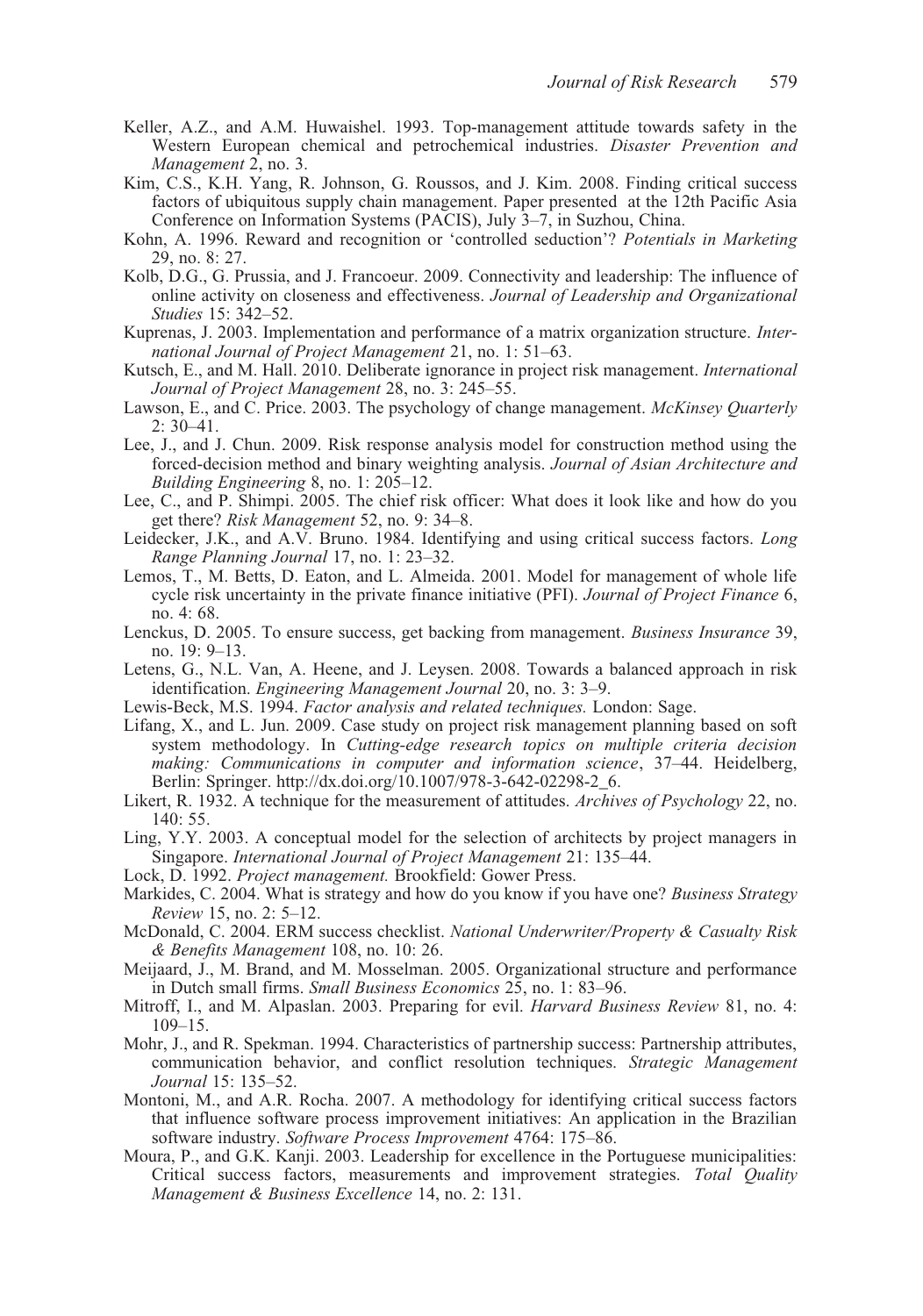- Keller, A.Z., and A.M. Huwaishel. 1993. Top-management attitude towards safety in the Western European chemical and petrochemical industries. *Disaster Prevention and Management* 2, no. 3.
- Kim, C.S., K.H. Yang, R. Johnson, G. Roussos, and J. Kim. 2008. Finding critical success factors of ubiquitous supply chain management. Paper presented at the 12th Pacific Asia Conference on Information Systems (PACIS), July 3–7, in Suzhou, China.
- Kohn, A. 1996. Reward and recognition or 'controlled seduction'? *Potentials in Marketing* 29, no. 8: 27.
- Kolb, D.G., G. Prussia, and J. Francoeur. 2009. Connectivity and leadership: The influence of online activity on closeness and effectiveness. *Journal of Leadership and Organizational Studies* 15: 342–52.
- Kuprenas, J. 2003. Implementation and performance of a matrix organization structure. *International Journal of Project Management* 21, no. 1: 51–63.
- Kutsch, E., and M. Hall. 2010. Deliberate ignorance in project risk management. *International Journal of Project Management* 28, no. 3: 245–55.
- Lawson, E., and C. Price. 2003. The psychology of change management. *McKinsey Quarterly*  $2: 30-41$
- Lee, J., and J. Chun. 2009. Risk response analysis model for construction method using the forced-decision method and binary weighting analysis. *Journal of Asian Architecture and Building Engineering* 8, no. 1: 205–12.
- Lee, C., and P. Shimpi. 2005. The chief risk officer: What does it look like and how do you get there? *Risk Management* 52, no. 9: 34–8.
- Leidecker, J.K., and A.V. Bruno. 1984. Identifying and using critical success factors. *Long Range Planning Journal* 17, no. 1: 23–32.
- Lemos, T., M. Betts, D. Eaton, and L. Almeida. 2001. Model for management of whole life cycle risk uncertainty in the private finance initiative (PFI). *Journal of Project Finance* 6, no. 4: 68.
- Lenckus, D. 2005. To ensure success, get backing from management. *Business Insurance* 39, no. 19: 9–13.
- Letens, G., N.L. Van, A. Heene, and J. Leysen. 2008. Towards a balanced approach in risk identification. *Engineering Management Journal* 20, no. 3: 3–9.
- Lewis-Beck, M.S. 1994. *Factor analysis and related techniques.* London: Sage.
- Lifang, X., and L. Jun. 2009. Case study on project risk management planning based on soft system methodology. In *Cutting-edge research topics on multiple criteria decision making: Communications in computer and information science*, 37–44. Heidelberg, Berlin: Springer. http://dx.doi.org/10.1007/978-3-642-02298-2\_6.
- Likert, R. 1932. A technique for the measurement of attitudes. *Archives of Psychology* 22, no. 140: 55.
- Ling, Y.Y. 2003. A conceptual model for the selection of architects by project managers in Singapore. *International Journal of Project Management* 21: 135–44.
- Lock, D. 1992. *Project management.* Brookfield: Gower Press.
- Markides, C. 2004. What is strategy and how do you know if you have one? *Business Strategy Review* 15, no. 2: 5–12.
- McDonald, C. 2004. ERM success checklist. *National Underwriter/Property & Casualty Risk & Benefits Management* 108, no. 10: 26.
- Meijaard, J., M. Brand, and M. Mosselman. 2005. Organizational structure and performance in Dutch small firms. *Small Business Economics* 25, no. 1: 83–96.
- Mitroff, I., and M. Alpaslan. 2003. Preparing for evil. *Harvard Business Review* 81, no. 4: 109–15.
- Mohr, J., and R. Spekman. 1994. Characteristics of partnership success: Partnership attributes, communication behavior, and conflict resolution techniques. *Strategic Management Journal* 15: 135–52.
- Montoni, M., and A.R. Rocha. 2007. A methodology for identifying critical success factors that influence software process improvement initiatives: An application in the Brazilian software industry. *Software Process Improvement* 4764: 175–86.
- Moura, P., and G.K. Kanji. 2003. Leadership for excellence in the Portuguese municipalities: Critical success factors, measurements and improvement strategies. *Total Quality Management & Business Excellence* 14, no. 2: 131.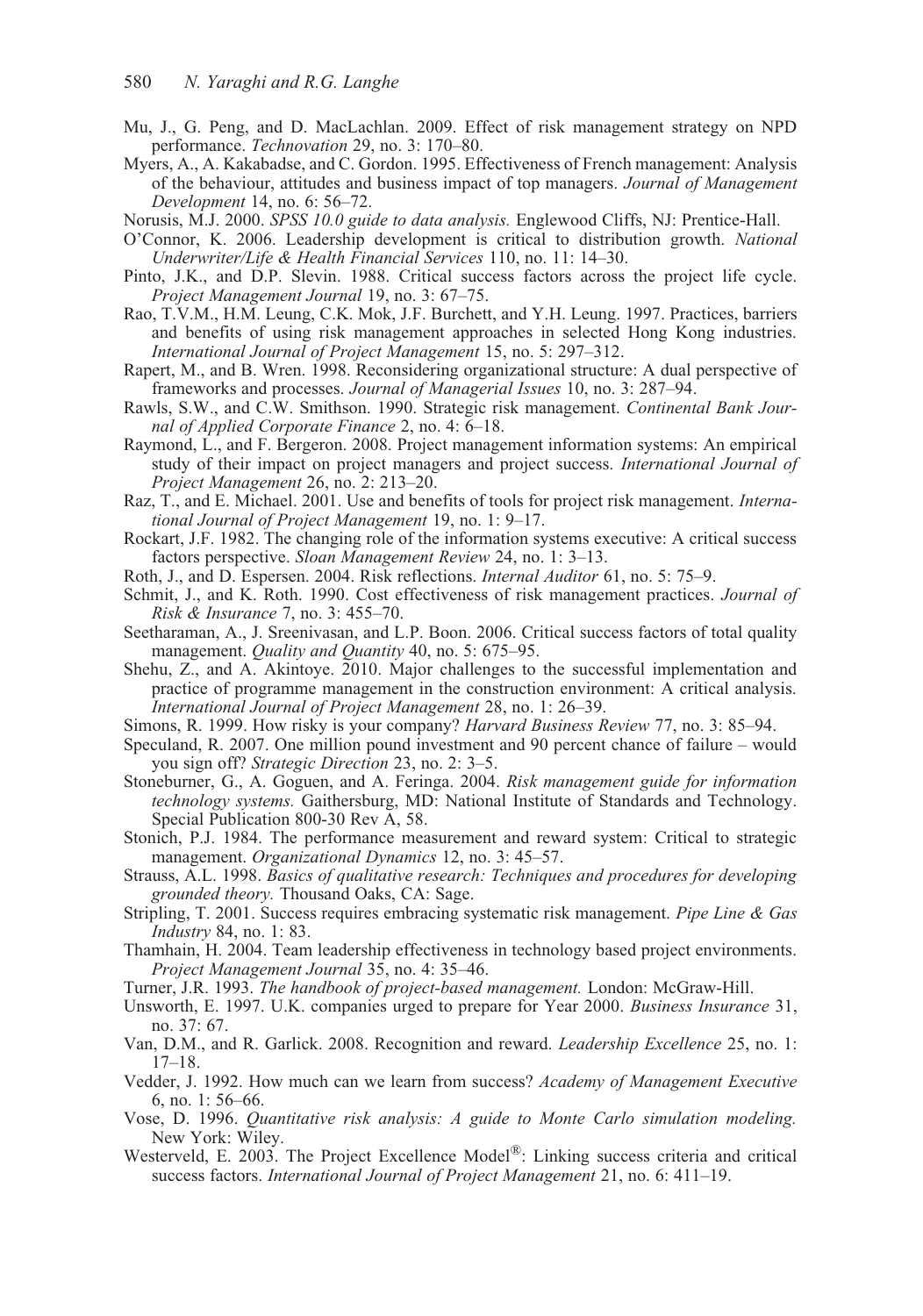- Mu, J., G. Peng, and D. MacLachlan. 2009. Effect of risk management strategy on NPD performance. *Technovation* 29, no. 3: 170–80.
- Myers, A., A. Kakabadse, and C. Gordon. 1995. Effectiveness of French management: Analysis of the behaviour, attitudes and business impact of top managers. *Journal of Management Development* 14, no. 6: 56–72.
- Norusis, M.J. 2000. *SPSS 10.0 guide to data analysis.* Englewood Cliffs, NJ: Prentice-Hall.
- O'Connor, K. 2006. Leadership development is critical to distribution growth. *National Underwriter/Life & Health Financial Services* 110, no. 11: 14–30.
- Pinto, J.K., and D.P. Slevin. 1988. Critical success factors across the project life cycle. *Project Management Journal* 19, no. 3: 67–75.
- Rao, T.V.M., H.M. Leung, C.K. Mok, J.F. Burchett, and Y.H. Leung. 1997. Practices, barriers and benefits of using risk management approaches in selected Hong Kong industries. *International Journal of Project Management* 15, no. 5: 297–312.
- Rapert, M., and B. Wren. 1998. Reconsidering organizational structure: A dual perspective of frameworks and processes. *Journal of Managerial Issues* 10, no. 3: 287–94.
- Rawls, S.W., and C.W. Smithson. 1990. Strategic risk management. *Continental Bank Journal of Applied Corporate Finance* 2, no. 4: 6–18.
- Raymond, L., and F. Bergeron. 2008. Project management information systems: An empirical study of their impact on project managers and project success. *International Journal of Project Management* 26, no. 2: 213–20.
- Raz, T., and E. Michael. 2001. Use and benefits of tools for project risk management. *International Journal of Project Management* 19, no. 1: 9–17.
- Rockart, J.F. 1982. The changing role of the information systems executive: A critical success factors perspective. *Sloan Management Review* 24, no. 1: 3–13.
- Roth, J., and D. Espersen. 2004. Risk reflections. *Internal Auditor* 61, no. 5: 75–9.
- Schmit, J., and K. Roth. 1990. Cost effectiveness of risk management practices. *Journal of Risk & Insurance* 7, no. 3: 455–70.
- Seetharaman, A., J. Sreenivasan, and L.P. Boon. 2006. Critical success factors of total quality management. *Quality and Quantity* 40, no. 5: 675–95.
- Shehu, Z., and A. Akintoye. 2010. Major challenges to the successful implementation and practice of programme management in the construction environment: A critical analysis. *International Journal of Project Management* 28, no. 1: 26–39.
- Simons, R. 1999. How risky is your company? *Harvard Business Review* 77, no. 3: 85–94.
- Speculand, R. 2007. One million pound investment and 90 percent chance of failure would you sign off? *Strategic Direction* 23, no. 2: 3–5.
- Stoneburner, G., A. Goguen, and A. Feringa. 2004. *Risk management guide for information technology systems.* Gaithersburg, MD: National Institute of Standards and Technology. Special Publication 800-30 Rev A, 58.
- Stonich, P.J. 1984. The performance measurement and reward system: Critical to strategic management. *Organizational Dynamics* 12, no. 3: 45–57.
- Strauss, A.L. 1998. *Basics of qualitative research: Techniques and procedures for developing grounded theory.* Thousand Oaks, CA: Sage.
- Stripling, T. 2001. Success requires embracing systematic risk management. *Pipe Line & Gas Industry* 84, no. 1: 83.
- Thamhain, H. 2004. Team leadership effectiveness in technology based project environments. *Project Management Journal* 35, no. 4: 35–46.
- Turner, J.R. 1993. *The handbook of project-based management.* London: McGraw-Hill.
- Unsworth, E. 1997. U.K. companies urged to prepare for Year 2000. *Business Insurance* 31, no. 37: 67.
- Van, D.M., and R. Garlick. 2008. Recognition and reward. *Leadership Excellence* 25, no. 1: 17–18.
- Vedder, J. 1992. How much can we learn from success? *Academy of Management Executive* 6, no. 1: 56–66.
- Vose, D. 1996. *Quantitative risk analysis: A guide to Monte Carlo simulation modeling.* New York: Wiley.
- Westerveld, E. 2003. The Project Excellence Model®: Linking success criteria and critical success factors. *International Journal of Project Management* 21, no. 6: 411–19.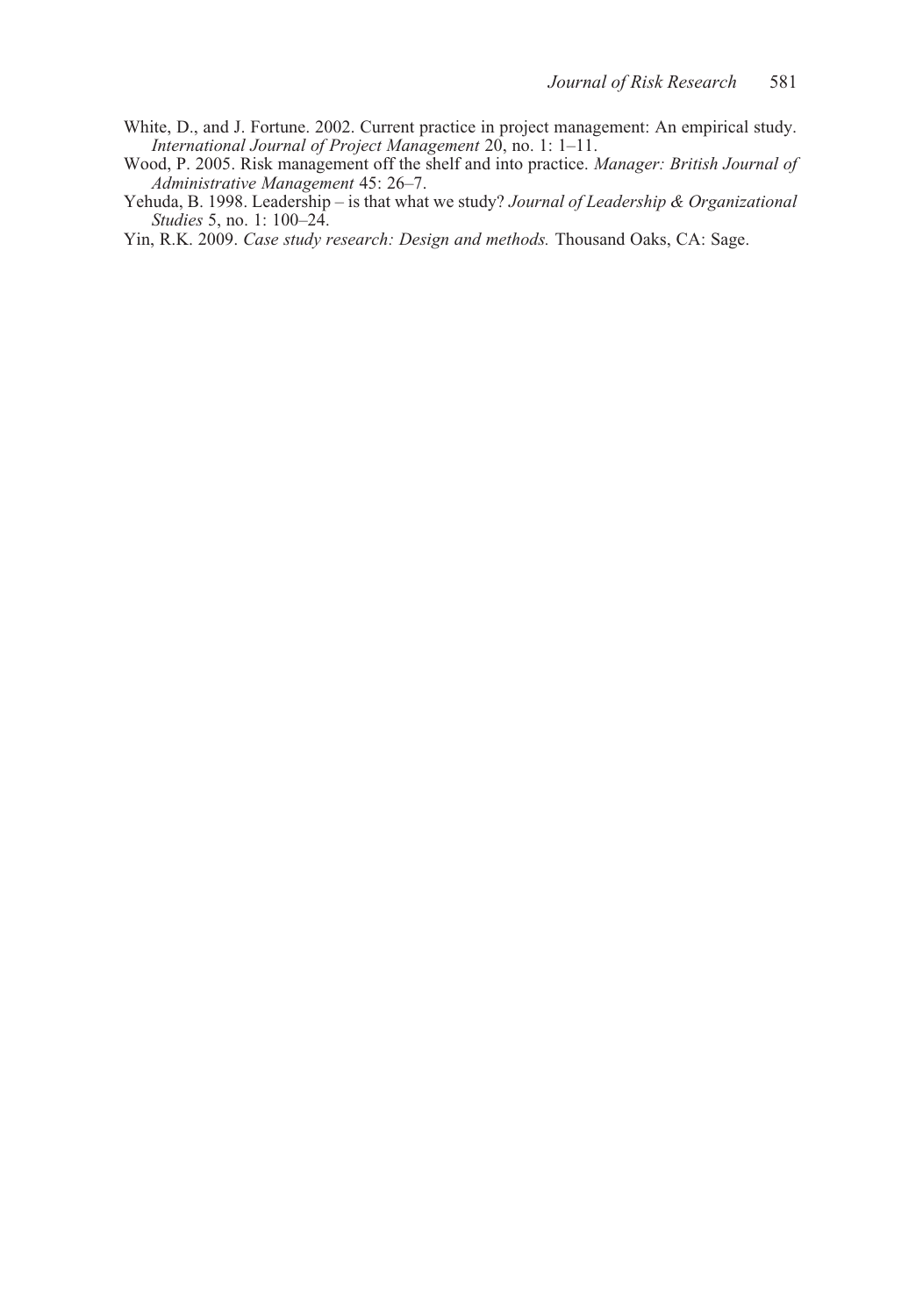- White, D., and J. Fortune. 2002. Current practice in project management: An empirical study. *International Journal of Project Management* 20, no. 1: 1–11.
- Wood, P. 2005. Risk management off the shelf and into practice. *Manager: British Journal of Administrative Management* 45: 26–7.
- Yehuda, B. 1998. Leadership is that what we study? *Journal of Leadership & Organizational Studies* 5, no. 1: 100–24.

Yin, R.K. 2009. *Case study research: Design and methods.* Thousand Oaks, CA: Sage.